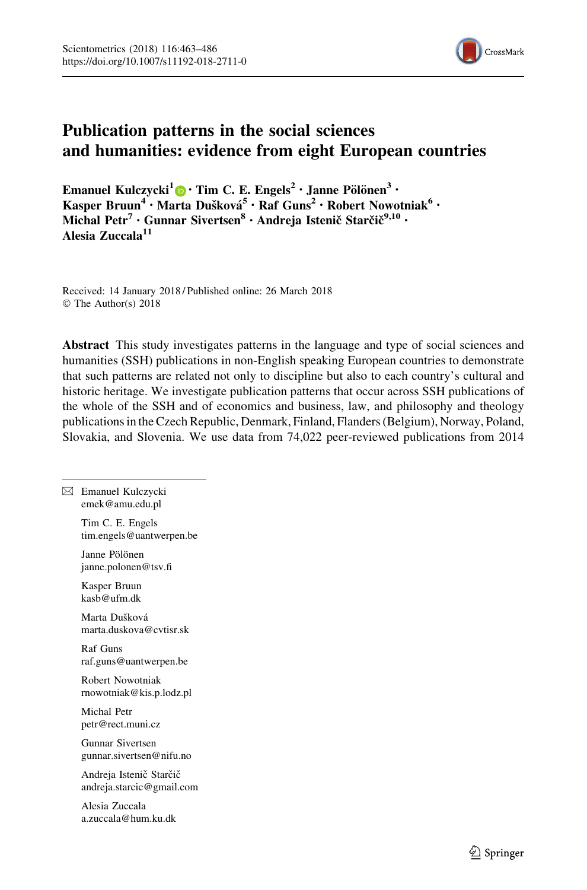

# Publication patterns in the social sciences and humanities: evidence from eight European countries

Emanuel Kulczycki<sup>1</sup> <sup>0</sup> · Tim C. E. Engels<sup>2</sup> · Janne Pölönen<sup>3</sup> · Kasper Bruun<sup>4</sup> • Marta Dušková<sup>5</sup> • Raf Guns<sup>2</sup> • Robert Nowotniak<sup>6</sup> • Michal Petr<sup>7</sup> • Gunnar Sivertsen<sup>8</sup> • Andreja Istenič Starčič<sup>9,10</sup> • Alesia Zuccala<sup>11</sup>

Received: 14 January 2018 / Published online: 26 March 2018 © The Author(s) 2018

Abstract This study investigates patterns in the language and type of social sciences and humanities (SSH) publications in non-English speaking European countries to demonstrate that such patterns are related not only to discipline but also to each country's cultural and historic heritage. We investigate publication patterns that occur across SSH publications of the whole of the SSH and of economics and business, law, and philosophy and theology publications in the Czech Republic, Denmark, Finland, Flanders (Belgium), Norway, Poland, Slovakia, and Slovenia. We use data from 74,022 peer-reviewed publications from 2014

 $\boxtimes$  Emanuel Kulczycki emek@amu.edu.pl

> Tim C. E. Engels tim.engels@uantwerpen.be

Janne Pölönen janne.polonen@tsv.fi

Kasper Bruun kasb@ufm.dk

Marta Dušková marta.duskova@cvtisr.sk

Raf Guns raf.guns@uantwerpen.be

Robert Nowotniak rnowotniak@kis.p.lodz.pl

Michal Petr petr@rect.muni.cz

Gunnar Sivertsen gunnar.sivertsen@nifu.no

Andreja Istenič Starčič andreja.starcic@gmail.com

Alesia Zuccala a.zuccala@hum.ku.dk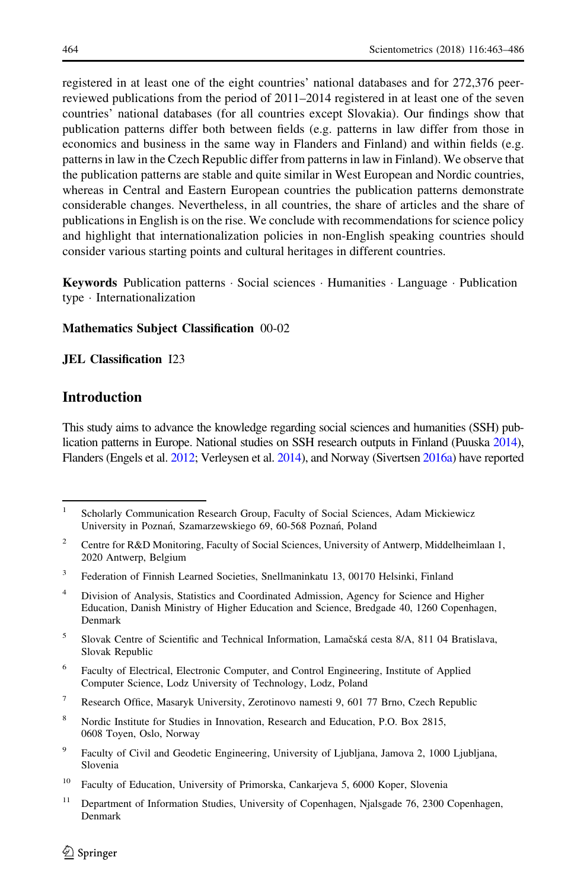registered in at least one of the eight countries' national databases and for 272,376 peerreviewed publications from the period of 2011–2014 registered in at least one of the seven countries' national databases (for all countries except Slovakia). Our findings show that publication patterns differ both between fields (e.g. patterns in law differ from those in economics and business in the same way in Flanders and Finland) and within fields (e.g. patterns in law in the Czech Republic differ from patterns in law in Finland). We observe that the publication patterns are stable and quite similar in West European and Nordic countries, whereas in Central and Eastern European countries the publication patterns demonstrate considerable changes. Nevertheless, in all countries, the share of articles and the share of publications in English is on the rise. We conclude with recommendations for science policy and highlight that internationalization policies in non-English speaking countries should consider various starting points and cultural heritages in different countries.

Keywords Publication patterns · Social sciences · Humanities · Language · Publication type - Internationalization

#### Mathematics Subject Classification 00-02

#### JEL Classification I23

# **Introduction**

This study aims to advance the knowledge regarding social sciences and humanities (SSH) publication patterns in Europe. National studies on SSH research outputs in Finland (Puuska [2014](#page-22-0)), Flanders (Engels et al. [2012;](#page-21-0) Verleysen et al. [2014\)](#page-23-0), and Norway (Sivertsen [2016a\)](#page-23-0) have reported

- <sup>3</sup> Federation of Finnish Learned Societies, Snellmaninkatu 13, 00170 Helsinki, Finland
- <sup>4</sup> Division of Analysis, Statistics and Coordinated Admission, Agency for Science and Higher Education, Danish Ministry of Higher Education and Science, Bredgade 40, 1260 Copenhagen, Denmark
- $5$  Slovak Centre of Scientific and Technical Information, Lamačská cesta 8/A, 811 04 Bratislava, Slovak Republic
- <sup>6</sup> Faculty of Electrical, Electronic Computer, and Control Engineering, Institute of Applied Computer Science, Lodz University of Technology, Lodz, Poland
- <sup>7</sup> Research Office, Masaryk University, Zerotinovo namesti 9, 601 77 Brno, Czech Republic
- <sup>8</sup> Nordic Institute for Studies in Innovation, Research and Education, P.O. Box 2815, 0608 Toyen, Oslo, Norway
- <sup>9</sup> Faculty of Civil and Geodetic Engineering, University of Ljubljana, Jamova 2, 1000 Ljubljana, Slovenia

<sup>11</sup> Department of Information Studies, University of Copenhagen, Njalsgade 76, 2300 Copenhagen, Denmark

<sup>&</sup>lt;sup>1</sup> Scholarly Communication Research Group, Faculty of Social Sciences, Adam Mickiewicz University in Poznań, Szamarzewskiego 69, 60-568 Poznań, Poland

<sup>&</sup>lt;sup>2</sup> Centre for R&D Monitoring, Faculty of Social Sciences, University of Antwerp, Middelheimlaan 1, 2020 Antwerp, Belgium

<sup>&</sup>lt;sup>10</sup> Faculty of Education, University of Primorska, Cankarjeva 5, 6000 Koper, Slovenia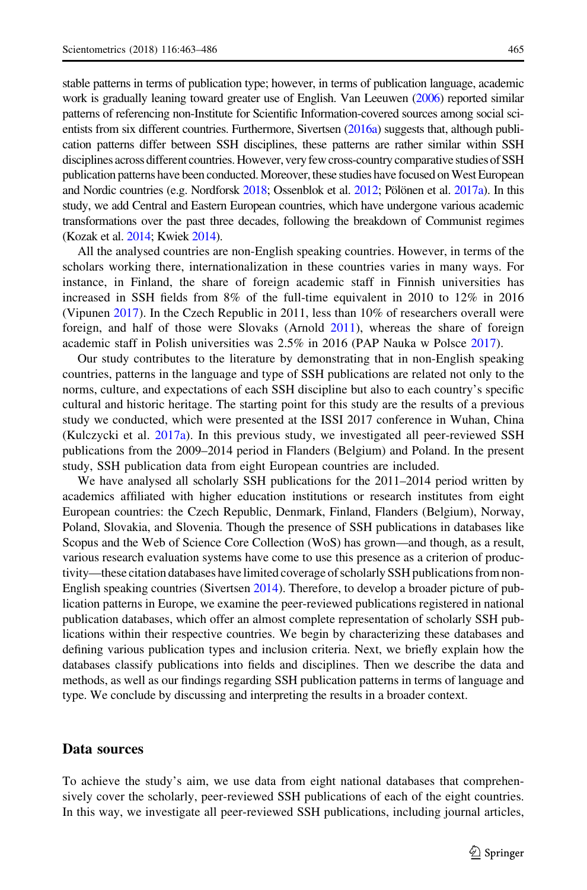stable patterns in terms of publication type; however, in terms of publication language, academic work is gradually leaning toward greater use of English. Van Leeuwen ([2006](#page-23-0)) reported similar patterns of referencing non-Institute for Scientific Information-covered sources among social scientists from six different countries. Furthermore, Sivertsen ([2016a\)](#page-23-0) suggests that, although publication patterns differ between SSH disciplines, these patterns are rather similar within SSH disciplines across different countries. However, very few cross-country comparative studies of SSH publication patterns have been conducted. Moreover, these studies have focused on West European and Nordic countries (e.g. Nordforsk  $2018$ ; Ossenblok et al.  $2012$ ; Pölönen et al.  $2017a$ ). In this study, we add Central and Eastern European countries, which have undergone various academic transformations over the past three decades, following the breakdown of Communist regimes (Kozak et al. [2014;](#page-22-0) Kwiek [2014\)](#page-22-0).

All the analysed countries are non-English speaking countries. However, in terms of the scholars working there, internationalization in these countries varies in many ways. For instance, in Finland, the share of foreign academic staff in Finnish universities has increased in SSH fields from 8% of the full-time equivalent in 2010 to 12% in 2016 (Vipunen [2017](#page-23-0)). In the Czech Republic in 2011, less than 10% of researchers overall were foreign, and half of those were Slovaks (Arnold [2011](#page-21-0)), whereas the share of foreign academic staff in Polish universities was 2.5% in 2016 (PAP Nauka w Polsce [2017\)](#page-22-0).

Our study contributes to the literature by demonstrating that in non-English speaking countries, patterns in the language and type of SSH publications are related not only to the norms, culture, and expectations of each SSH discipline but also to each country's specific cultural and historic heritage. The starting point for this study are the results of a previous study we conducted, which were presented at the ISSI 2017 conference in Wuhan, China (Kulczycki et al. [2017a](#page-22-0)). In this previous study, we investigated all peer-reviewed SSH publications from the 2009–2014 period in Flanders (Belgium) and Poland. In the present study, SSH publication data from eight European countries are included.

We have analysed all scholarly SSH publications for the 2011–2014 period written by academics affiliated with higher education institutions or research institutes from eight European countries: the Czech Republic, Denmark, Finland, Flanders (Belgium), Norway, Poland, Slovakia, and Slovenia. Though the presence of SSH publications in databases like Scopus and the Web of Science Core Collection (WoS) has grown—and though, as a result, various research evaluation systems have come to use this presence as a criterion of productivity—these citation databases have limited coverage of scholarly SSH publications from non-English speaking countries (Sivertsen [2014\)](#page-23-0). Therefore, to develop a broader picture of publication patterns in Europe, we examine the peer-reviewed publications registered in national publication databases, which offer an almost complete representation of scholarly SSH publications within their respective countries. We begin by characterizing these databases and defining various publication types and inclusion criteria. Next, we briefly explain how the databases classify publications into fields and disciplines. Then we describe the data and methods, as well as our findings regarding SSH publication patterns in terms of language and type. We conclude by discussing and interpreting the results in a broader context.

#### Data sources

To achieve the study's aim, we use data from eight national databases that comprehensively cover the scholarly, peer-reviewed SSH publications of each of the eight countries. In this way, we investigate all peer-reviewed SSH publications, including journal articles,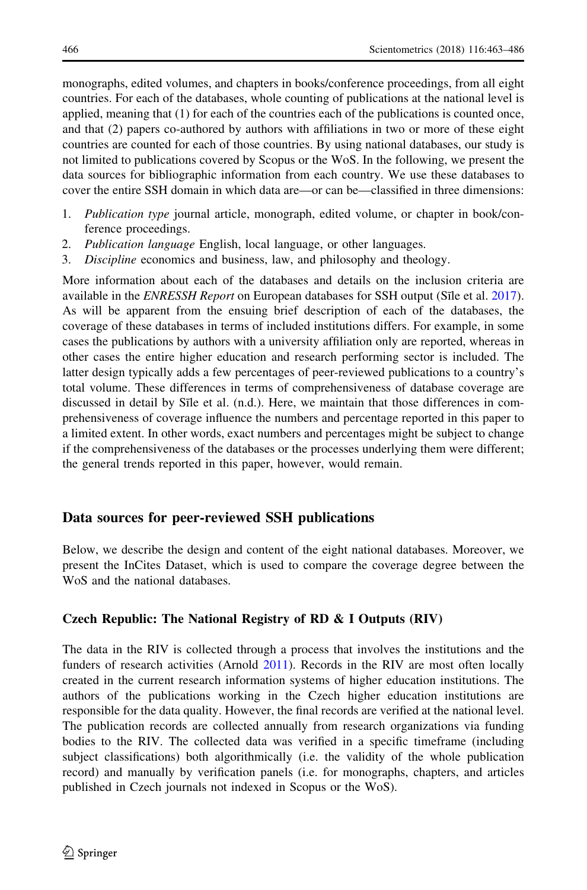monographs, edited volumes, and chapters in books/conference proceedings, from all eight countries. For each of the databases, whole counting of publications at the national level is applied, meaning that (1) for each of the countries each of the publications is counted once, and that (2) papers co-authored by authors with affiliations in two or more of these eight countries are counted for each of those countries. By using national databases, our study is not limited to publications covered by Scopus or the WoS. In the following, we present the data sources for bibliographic information from each country. We use these databases to cover the entire SSH domain in which data are—or can be—classified in three dimensions:

- 1. Publication type journal article, monograph, edited volume, or chapter in book/conference proceedings.
- 2. Publication language English, local language, or other languages.
- 3. Discipline economics and business, law, and philosophy and theology.

More information about each of the databases and details on the inclusion criteria are available in the *ENRESSH Report* on European databases for SSH output (S<sub>I</sub> le et al. [2017](#page-23-0)). As will be apparent from the ensuing brief description of each of the databases, the coverage of these databases in terms of included institutions differs. For example, in some cases the publications by authors with a university affiliation only are reported, whereas in other cases the entire higher education and research performing sector is included. The latter design typically adds a few percentages of peer-reviewed publications to a country's total volume. These differences in terms of comprehensiveness of database coverage are discussed in detail by Sile et al. (n.d.). Here, we maintain that those differences in comprehensiveness of coverage influence the numbers and percentage reported in this paper to a limited extent. In other words, exact numbers and percentages might be subject to change if the comprehensiveness of the databases or the processes underlying them were different; the general trends reported in this paper, however, would remain.

# Data sources for peer-reviewed SSH publications

Below, we describe the design and content of the eight national databases. Moreover, we present the InCites Dataset, which is used to compare the coverage degree between the WoS and the national databases.

## Czech Republic: The National Registry of RD & I Outputs (RIV)

The data in the RIV is collected through a process that involves the institutions and the funders of research activities (Arnold [2011](#page-21-0)). Records in the RIV are most often locally created in the current research information systems of higher education institutions. The authors of the publications working in the Czech higher education institutions are responsible for the data quality. However, the final records are verified at the national level. The publication records are collected annually from research organizations via funding bodies to the RIV. The collected data was verified in a specific timeframe (including subject classifications) both algorithmically (i.e. the validity of the whole publication record) and manually by verification panels (i.e. for monographs, chapters, and articles published in Czech journals not indexed in Scopus or the WoS).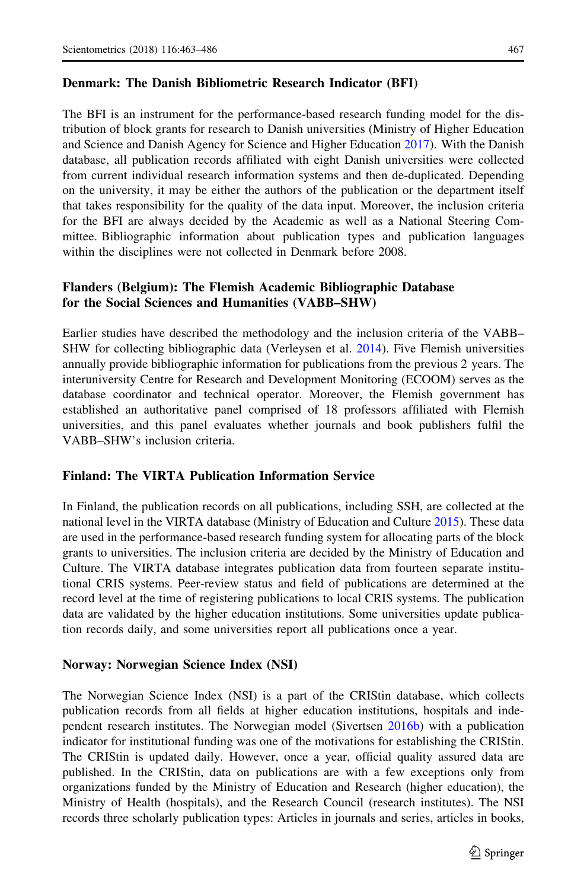The BFI is an instrument for the performance-based research funding model for the distribution of block grants for research to Danish universities (Ministry of Higher Education and Science and Danish Agency for Science and Higher Education [2017\)](#page-22-0). With the Danish database, all publication records affiliated with eight Danish universities were collected from current individual research information systems and then de-duplicated. Depending on the university, it may be either the authors of the publication or the department itself that takes responsibility for the quality of the data input. Moreover, the inclusion criteria for the BFI are always decided by the Academic as well as a National Steering Committee. Bibliographic information about publication types and publication languages within the disciplines were not collected in Denmark before 2008.

# Flanders (Belgium): The Flemish Academic Bibliographic Database for the Social Sciences and Humanities (VABB–SHW)

Earlier studies have described the methodology and the inclusion criteria of the VABB– SHW for collecting bibliographic data (Verleysen et al. [2014](#page-23-0)). Five Flemish universities annually provide bibliographic information for publications from the previous 2 years. The interuniversity Centre for Research and Development Monitoring (ECOOM) serves as the database coordinator and technical operator. Moreover, the Flemish government has established an authoritative panel comprised of 18 professors affiliated with Flemish universities, and this panel evaluates whether journals and book publishers fulfil the VABB–SHW's inclusion criteria.

## Finland: The VIRTA Publication Information Service

In Finland, the publication records on all publications, including SSH, are collected at the national level in the VIRTA database (Ministry of Education and Culture [2015](#page-22-0)). These data are used in the performance-based research funding system for allocating parts of the block grants to universities. The inclusion criteria are decided by the Ministry of Education and Culture. The VIRTA database integrates publication data from fourteen separate institutional CRIS systems. Peer-review status and field of publications are determined at the record level at the time of registering publications to local CRIS systems. The publication data are validated by the higher education institutions. Some universities update publication records daily, and some universities report all publications once a year.

## Norway: Norwegian Science Index (NSI)

The Norwegian Science Index (NSI) is a part of the CRIStin database, which collects publication records from all fields at higher education institutions, hospitals and independent research institutes. The Norwegian model (Sivertsen [2016b](#page-23-0)) with a publication indicator for institutional funding was one of the motivations for establishing the CRIStin. The CRIStin is updated daily. However, once a year, official quality assured data are published. In the CRIStin, data on publications are with a few exceptions only from organizations funded by the Ministry of Education and Research (higher education), the Ministry of Health (hospitals), and the Research Council (research institutes). The NSI records three scholarly publication types: Articles in journals and series, articles in books,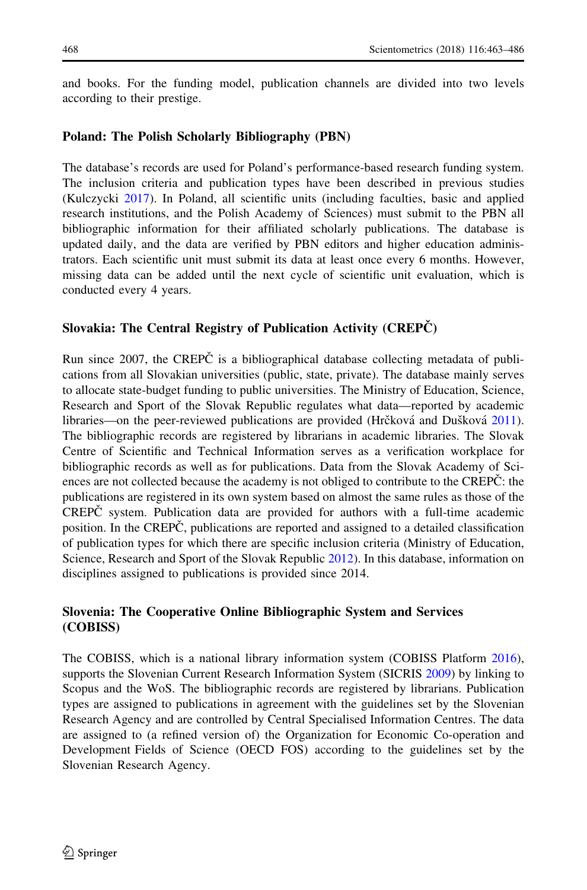and books. For the funding model, publication channels are divided into two levels according to their prestige.

## Poland: The Polish Scholarly Bibliography (PBN)

The database's records are used for Poland's performance-based research funding system. The inclusion criteria and publication types have been described in previous studies (Kulczycki [2017](#page-22-0)). In Poland, all scientific units (including faculties, basic and applied research institutions, and the Polish Academy of Sciences) must submit to the PBN all bibliographic information for their affiliated scholarly publications. The database is updated daily, and the data are verified by PBN editors and higher education administrators. Each scientific unit must submit its data at least once every 6 months. However, missing data can be added until the next cycle of scientific unit evaluation, which is conducted every 4 years.

# Slovakia: The Central Registry of Publication Activity  $(CREPC)$

Run since 2007, the CREPC is a bibliographical database collecting metadata of publications from all Slovakian universities (public, state, private). The database mainly serves to allocate state-budget funding to public universities. The Ministry of Education, Science, Research and Sport of the Slovak Republic regulates what data—reported by academic libraries—on the peer-reviewed publications are provided (Hrčková and Dušková [2011](#page-21-0)). The bibliographic records are registered by librarians in academic libraries. The Slovak Centre of Scientific and Technical Information serves as a verification workplace for bibliographic records as well as for publications. Data from the Slovak Academy of Sciences are not collected because the academy is not obliged to contribute to the CREPC: the publications are registered in its own system based on almost the same rules as those of the CREPC system. Publication data are provided for authors with a full-time academic position. In the CREPC, publications are reported and assigned to a detailed classification of publication types for which there are specific inclusion criteria (Ministry of Education, Science, Research and Sport of the Slovak Republic [2012\)](#page-22-0). In this database, information on disciplines assigned to publications is provided since 2014.

# Slovenia: The Cooperative Online Bibliographic System and Services (COBISS)

The COBISS, which is a national library information system (COBISS Platform [2016](#page-21-0)), supports the Slovenian Current Research Information System (SICRIS [2009\)](#page-22-0) by linking to Scopus and the WoS. The bibliographic records are registered by librarians. Publication types are assigned to publications in agreement with the guidelines set by the Slovenian Research Agency and are controlled by Central Specialised Information Centres. The data are assigned to (a refined version of) the Organization for Economic Co-operation and Development Fields of Science (OECD FOS) according to the guidelines set by the Slovenian Research Agency.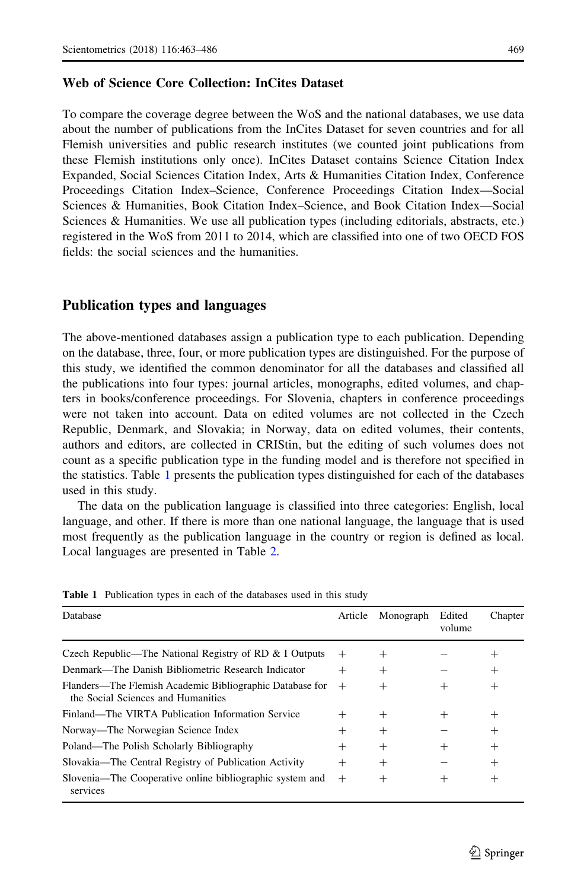#### Web of Science Core Collection: InCites Dataset

To compare the coverage degree between the WoS and the national databases, we use data about the number of publications from the InCites Dataset for seven countries and for all Flemish universities and public research institutes (we counted joint publications from these Flemish institutions only once). InCites Dataset contains Science Citation Index Expanded, Social Sciences Citation Index, Arts & Humanities Citation Index, Conference Proceedings Citation Index–Science, Conference Proceedings Citation Index—Social Sciences & Humanities, Book Citation Index–Science, and Book Citation Index—Social Sciences & Humanities. We use all publication types (including editorials, abstracts, etc.) registered in the WoS from 2011 to 2014, which are classified into one of two OECD FOS fields: the social sciences and the humanities.

## Publication types and languages

The above-mentioned databases assign a publication type to each publication. Depending on the database, three, four, or more publication types are distinguished. For the purpose of this study, we identified the common denominator for all the databases and classified all the publications into four types: journal articles, monographs, edited volumes, and chapters in books/conference proceedings. For Slovenia, chapters in conference proceedings were not taken into account. Data on edited volumes are not collected in the Czech Republic, Denmark, and Slovakia; in Norway, data on edited volumes, their contents, authors and editors, are collected in CRIStin, but the editing of such volumes does not count as a specific publication type in the funding model and is therefore not specified in the statistics. Table 1 presents the publication types distinguished for each of the databases used in this study.

The data on the publication language is classified into three categories: English, local language, and other. If there is more than one national language, the language that is used most frequently as the publication language in the country or region is defined as local. Local languages are presented in Table [2](#page-7-0).

| Database                                                                                       | Article | Monograph | Edited<br>volume | Chapter |
|------------------------------------------------------------------------------------------------|---------|-----------|------------------|---------|
| Czech Republic—The National Registry of RD & I Outputs                                         | $^+$    | $^{+}$    |                  | $^{+}$  |
| Denmark—The Danish Bibliometric Research Indicator                                             | $^{+}$  | $^{+}$    |                  | $^{+}$  |
| Flanders—The Flemish Academic Bibliographic Database for<br>the Social Sciences and Humanities | $^{+}$  | $^{+}$    | $^+$             | $^{+}$  |
| Finland—The VIRTA Publication Information Service                                              | $^{+}$  | $^{+}$    | $^+$             | $^{+}$  |
| Norway—The Norwegian Science Index                                                             | $^+$    | $^{+}$    |                  | $^{+}$  |
| Poland—The Polish Scholarly Bibliography                                                       | $^+$    | $^{+}$    | $^{+}$           | $^{+}$  |
| Slovakia—The Central Registry of Publication Activity                                          | $^{+}$  | $^{+}$    |                  | $^{+}$  |
| Slovenia—The Cooperative online bibliographic system and<br>services                           | $^{+}$  | $\pm$     | $^+$             | $^{+}$  |

Table 1 Publication types in each of the databases used in this study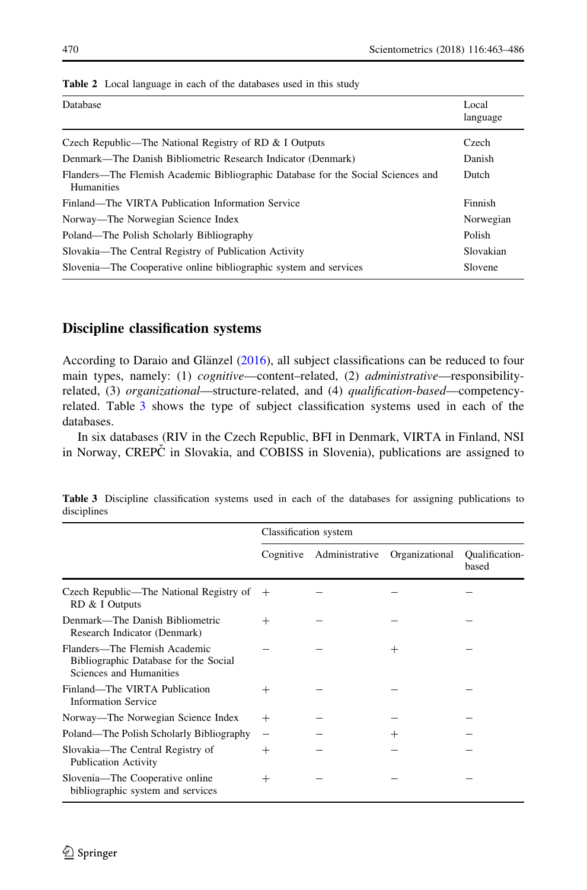| Database                                                                                              | Local<br>language |
|-------------------------------------------------------------------------------------------------------|-------------------|
| Czech Republic—The National Registry of RD & I Outputs                                                | Czech             |
| Denmark—The Danish Bibliometric Research Indicator (Denmark)                                          | Danish            |
| Flanders—The Flemish Academic Bibliographic Database for the Social Sciences and<br><b>Humanities</b> | Dutch             |
| Finland—The VIRTA Publication Information Service                                                     | Finnish           |
| Norway—The Norwegian Science Index                                                                    | Norwegian         |
| Poland—The Polish Scholarly Bibliography                                                              | Polish            |
| Slovakia—The Central Registry of Publication Activity                                                 | Slovakian         |
| Slovenia—The Cooperative online bibliographic system and services                                     | Slovene           |

<span id="page-7-0"></span>

| <b>Table 2</b> Local language in each of the databases used in this study |  |
|---------------------------------------------------------------------------|--|
|---------------------------------------------------------------------------|--|

#### Discipline classification systems

According to Daraio and Glänzel  $(2016)$  $(2016)$  $(2016)$ , all subject classifications can be reduced to four main types, namely: (1) *cognitive*—content–related, (2) *administrative*—responsibilityrelated, (3) organizational—structure-related, and (4) qualification-based—competencyrelated. Table 3 shows the type of subject classification systems used in each of the databases.

In six databases (RIV in the Czech Republic, BFI in Denmark, VIRTA in Finland, NSI in Norway, CREPC in Slovakia, and COBISS in Slovenia), publications are assigned to

|                                                                                                   | Classification system |                |                |                                |
|---------------------------------------------------------------------------------------------------|-----------------------|----------------|----------------|--------------------------------|
|                                                                                                   | Cognitive             | Administrative | Organizational | <b>Qualification-</b><br>based |
| Czech Republic—The National Registry of<br>RD & I Outputs                                         | $^{+}$                |                |                |                                |
| Denmark—The Danish Bibliometric<br>Research Indicator (Denmark)                                   | $\overline{+}$        |                |                |                                |
| Flanders—The Flemish Academic<br>Bibliographic Database for the Social<br>Sciences and Humanities |                       |                | $^+$           |                                |
| Finland—The VIRTA Publication<br><b>Information Service</b>                                       | $^+$                  |                |                |                                |
| Norway—The Norwegian Science Index                                                                | $\! +$                |                |                |                                |
| Poland—The Polish Scholarly Bibliography                                                          |                       |                | $^+$           |                                |
| Slovakia—The Central Registry of<br><b>Publication Activity</b>                                   | $\overline{+}$        |                |                |                                |
| Slovenia—The Cooperative online<br>bibliographic system and services                              | $^{+}$                |                |                |                                |

Table 3 Discipline classification systems used in each of the databases for assigning publications to disciplines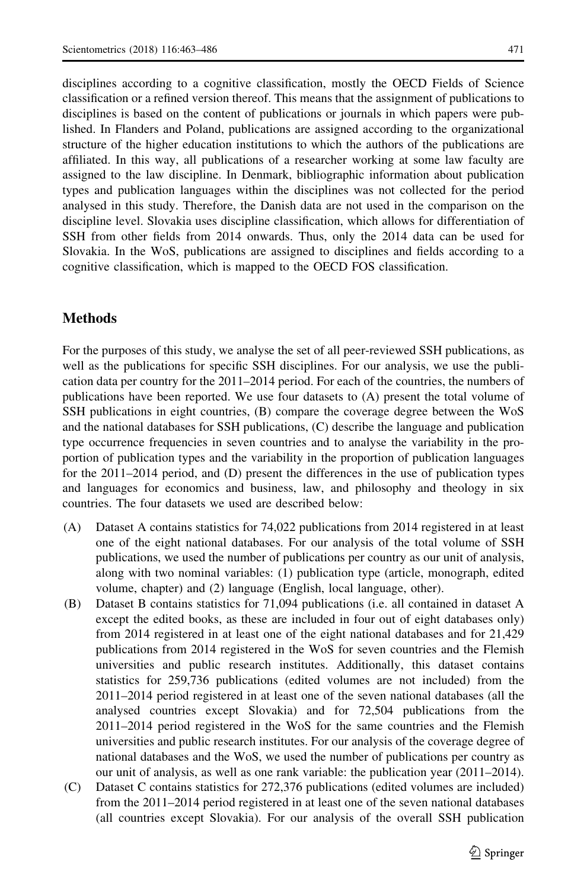disciplines according to a cognitive classification, mostly the OECD Fields of Science classification or a refined version thereof. This means that the assignment of publications to disciplines is based on the content of publications or journals in which papers were published. In Flanders and Poland, publications are assigned according to the organizational structure of the higher education institutions to which the authors of the publications are affiliated. In this way, all publications of a researcher working at some law faculty are assigned to the law discipline. In Denmark, bibliographic information about publication types and publication languages within the disciplines was not collected for the period analysed in this study. Therefore, the Danish data are not used in the comparison on the discipline level. Slovakia uses discipline classification, which allows for differentiation of SSH from other fields from 2014 onwards. Thus, only the 2014 data can be used for Slovakia. In the WoS, publications are assigned to disciplines and fields according to a cognitive classification, which is mapped to the OECD FOS classification.

# Methods

For the purposes of this study, we analyse the set of all peer-reviewed SSH publications, as well as the publications for specific SSH disciplines. For our analysis, we use the publication data per country for the 2011–2014 period. For each of the countries, the numbers of publications have been reported. We use four datasets to (A) present the total volume of SSH publications in eight countries, (B) compare the coverage degree between the WoS and the national databases for SSH publications, (C) describe the language and publication type occurrence frequencies in seven countries and to analyse the variability in the proportion of publication types and the variability in the proportion of publication languages for the 2011–2014 period, and (D) present the differences in the use of publication types and languages for economics and business, law, and philosophy and theology in six countries. The four datasets we used are described below:

- (A) Dataset A contains statistics for 74,022 publications from 2014 registered in at least one of the eight national databases. For our analysis of the total volume of SSH publications, we used the number of publications per country as our unit of analysis, along with two nominal variables: (1) publication type (article, monograph, edited volume, chapter) and (2) language (English, local language, other).
- (B) Dataset B contains statistics for 71,094 publications (i.e. all contained in dataset A except the edited books, as these are included in four out of eight databases only) from 2014 registered in at least one of the eight national databases and for 21,429 publications from 2014 registered in the WoS for seven countries and the Flemish universities and public research institutes. Additionally, this dataset contains statistics for 259,736 publications (edited volumes are not included) from the 2011–2014 period registered in at least one of the seven national databases (all the analysed countries except Slovakia) and for 72,504 publications from the 2011–2014 period registered in the WoS for the same countries and the Flemish universities and public research institutes. For our analysis of the coverage degree of national databases and the WoS, we used the number of publications per country as our unit of analysis, as well as one rank variable: the publication year (2011–2014).
- (C) Dataset C contains statistics for 272,376 publications (edited volumes are included) from the 2011–2014 period registered in at least one of the seven national databases (all countries except Slovakia). For our analysis of the overall SSH publication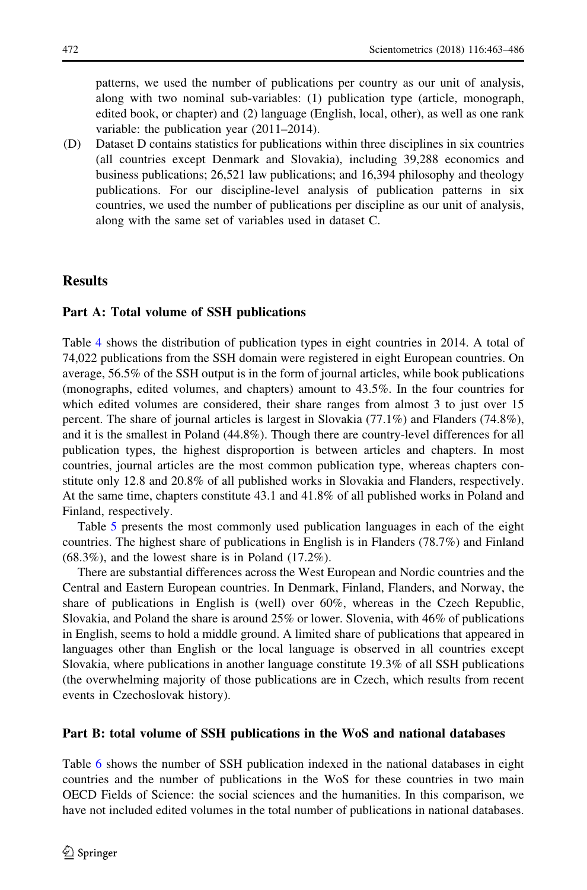patterns, we used the number of publications per country as our unit of analysis, along with two nominal sub-variables: (1) publication type (article, monograph, edited book, or chapter) and (2) language (English, local, other), as well as one rank variable: the publication year (2011–2014).

(D) Dataset D contains statistics for publications within three disciplines in six countries (all countries except Denmark and Slovakia), including 39,288 economics and business publications; 26,521 law publications; and 16,394 philosophy and theology publications. For our discipline-level analysis of publication patterns in six countries, we used the number of publications per discipline as our unit of analysis, along with the same set of variables used in dataset C.

#### **Results**

#### Part A: Total volume of SSH publications

Table [4](#page-10-0) shows the distribution of publication types in eight countries in 2014. A total of 74,022 publications from the SSH domain were registered in eight European countries. On average, 56.5% of the SSH output is in the form of journal articles, while book publications (monographs, edited volumes, and chapters) amount to 43.5%. In the four countries for which edited volumes are considered, their share ranges from almost 3 to just over 15 percent. The share of journal articles is largest in Slovakia (77.1%) and Flanders (74.8%), and it is the smallest in Poland (44.8%). Though there are country-level differences for all publication types, the highest disproportion is between articles and chapters. In most countries, journal articles are the most common publication type, whereas chapters constitute only 12.8 and 20.8% of all published works in Slovakia and Flanders, respectively. At the same time, chapters constitute 43.1 and 41.8% of all published works in Poland and Finland, respectively.

Table [5](#page-11-0) presents the most commonly used publication languages in each of the eight countries. The highest share of publications in English is in Flanders (78.7%) and Finland  $(68.3\%)$ , and the lowest share is in Poland  $(17.2\%)$ .

There are substantial differences across the West European and Nordic countries and the Central and Eastern European countries. In Denmark, Finland, Flanders, and Norway, the share of publications in English is (well) over 60%, whereas in the Czech Republic, Slovakia, and Poland the share is around 25% or lower. Slovenia, with 46% of publications in English, seems to hold a middle ground. A limited share of publications that appeared in languages other than English or the local language is observed in all countries except Slovakia, where publications in another language constitute 19.3% of all SSH publications (the overwhelming majority of those publications are in Czech, which results from recent events in Czechoslovak history).

#### Part B: total volume of SSH publications in the WoS and national databases

Table [6](#page-11-0) shows the number of SSH publication indexed in the national databases in eight countries and the number of publications in the WoS for these countries in two main OECD Fields of Science: the social sciences and the humanities. In this comparison, we have not included edited volumes in the total number of publications in national databases.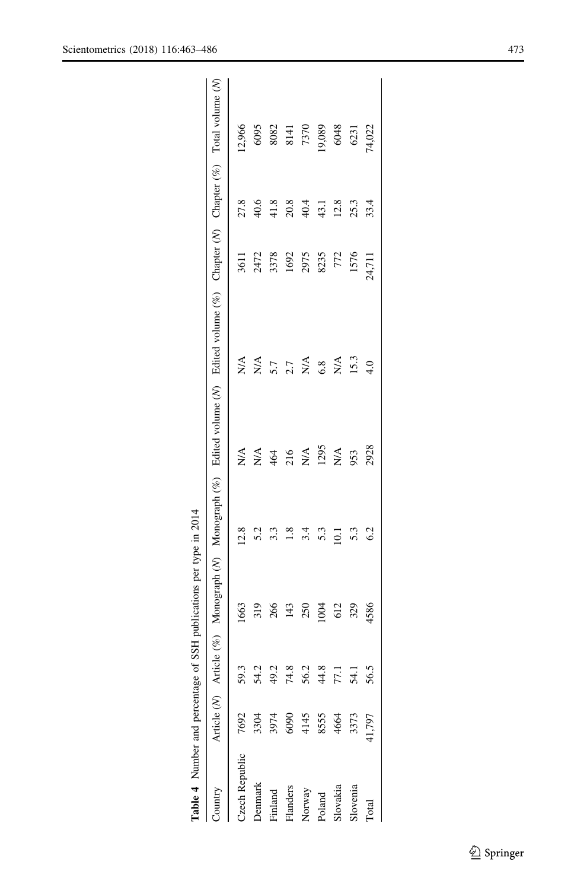<span id="page-10-0"></span>

| $_{\rm vintry}$  |                                      |      |      |      |                  | Article (V) Article (%) Monograph (V) Monograph (%) Edited volume (V) Edited volume (%) Chapter (V) Chapter (%) Total volume (V) |        |        |                     |
|------------------|--------------------------------------|------|------|------|------------------|----------------------------------------------------------------------------------------------------------------------------------|--------|--------|---------------------|
| zech Republic    | 7692                                 |      | 1663 | 12.8 | $\sum_{i=1}^{n}$ | $\sum_{i=1}^{n}$                                                                                                                 | 3611   | 27.8   | 12,966              |
| enmark           |                                      |      | 319  | 5.2  | N/A              | $\sum_{i=1}^{n}$                                                                                                                 | 2472   | 40.6   | 6095                |
| Finland          | 3304<br>3974                         | 49.2 | 266  | 3.3  | 464              | 5.7                                                                                                                              | 3378   | 41.8   | $\frac{8082}{8141}$ |
| Flanders         |                                      | 7    | 143  | 1.8  | 216              | 2.7                                                                                                                              | 1692   | $20.8$ |                     |
|                  |                                      | 56.2 | 250  | 3.4  | $N\mathcal{A}$   | $\sum_{i=1}^{n}$                                                                                                                 | 2975   | 40.4   | 7370                |
| Vorway<br>Poland |                                      | 44.8 | 1004 | 5.3  | 1295             | 6.8                                                                                                                              | 8235   | 43.1   | (9,089)             |
| Slovakia         | 6090<br>4145<br>8555<br>4664<br>4664 |      | 612  | 10.1 | ΝÃ               | N/A                                                                                                                              | 772    | 12.8   | 6048                |
| <b>lovenia</b>   |                                      |      | 329  | 5.3  | 953              | 15.3                                                                                                                             | 1576   | 25.3   | 6231                |
| <b>otal</b>      | $+1,797$                             |      | 4586 | 6.2  | 2928             | 4.0                                                                                                                              | 24,711 | 33.4   | 74,022              |
|                  |                                      |      |      |      |                  |                                                                                                                                  |        |        |                     |

Table 4 Number and percentage of SSH publications per type in 2014

Table 4 Number and percentage of SSH publications per type in 2014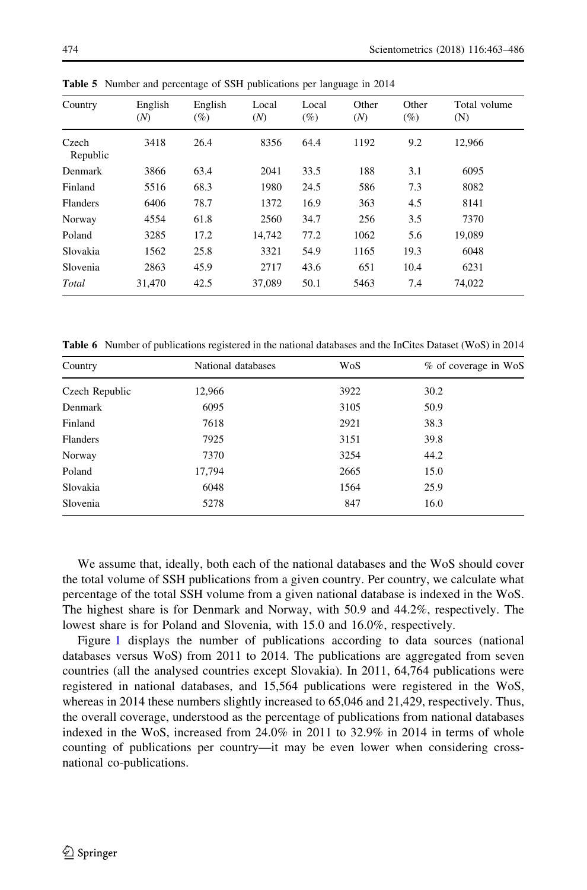| Country           | English<br>(N) | English<br>$(\%)$ | Local<br>(N) | Local<br>$(\%)$ | Other<br>(N) | Other<br>$(\%)$ | Total volume<br>(N) |
|-------------------|----------------|-------------------|--------------|-----------------|--------------|-----------------|---------------------|
| Czech<br>Republic | 3418           | 26.4              | 8356         | 64.4            | 1192         | 9.2             | 12,966              |
| Denmark           | 3866           | 63.4              | 2041         | 33.5            | 188          | 3.1             | 6095                |
| Finland           | 5516           | 68.3              | 1980         | 24.5            | 586          | 7.3             | 8082                |
| Flanders          | 6406           | 78.7              | 1372         | 16.9            | 363          | 4.5             | 8141                |
| Norway            | 4554           | 61.8              | 2560         | 34.7            | 256          | 3.5             | 7370                |
| Poland            | 3285           | 17.2              | 14.742       | 77.2            | 1062         | 5.6             | 19,089              |
| Slovakia          | 1562           | 25.8              | 3321         | 54.9            | 1165         | 19.3            | 6048                |
| Slovenia          | 2863           | 45.9              | 2717         | 43.6            | 651          | 10.4            | 6231                |
| Total             | 31,470         | 42.5              | 37,089       | 50.1            | 5463         | 7.4             | 74.022              |

<span id="page-11-0"></span>Table 5 Number and percentage of SSH publications per language in 2014

Table 6 Number of publications registered in the national databases and the InCites Dataset (WoS) in 2014

| Country        | National databases | WoS  | % of coverage in WoS |
|----------------|--------------------|------|----------------------|
| Czech Republic | 12,966             | 3922 | 30.2                 |
| Denmark        | 6095               | 3105 | 50.9                 |
| Finland        | 7618               | 2921 | 38.3                 |
| Flanders       | 7925               | 3151 | 39.8                 |
| Norway         | 7370               | 3254 | 44.2                 |
| Poland         | 17,794             | 2665 | 15.0                 |
| Slovakia       | 6048               | 1564 | 25.9                 |
| Slovenia       | 5278               | 847  | 16.0                 |

We assume that, ideally, both each of the national databases and the WoS should cover the total volume of SSH publications from a given country. Per country, we calculate what percentage of the total SSH volume from a given national database is indexed in the WoS. The highest share is for Denmark and Norway, with 50.9 and 44.2%, respectively. The lowest share is for Poland and Slovenia, with 15.0 and 16.0%, respectively.

Figure [1](#page-12-0) displays the number of publications according to data sources (national databases versus WoS) from 2011 to 2014. The publications are aggregated from seven countries (all the analysed countries except Slovakia). In 2011, 64,764 publications were registered in national databases, and 15,564 publications were registered in the WoS, whereas in 2014 these numbers slightly increased to 65,046 and 21,429, respectively. Thus, the overall coverage, understood as the percentage of publications from national databases indexed in the WoS, increased from 24.0% in 2011 to 32.9% in 2014 in terms of whole counting of publications per country—it may be even lower when considering crossnational co-publications.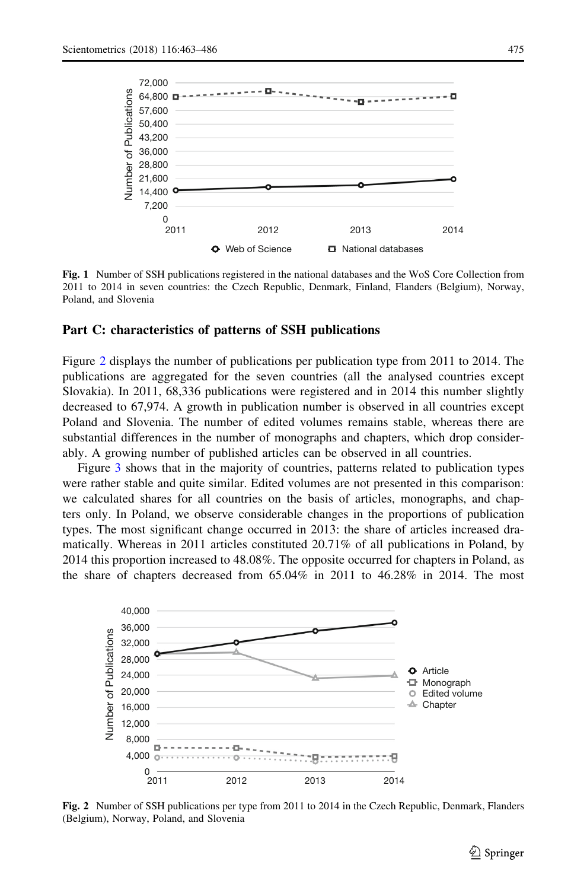<span id="page-12-0"></span>

Fig. 1 Number of SSH publications registered in the national databases and the WoS Core Collection from 2011 to 2014 in seven countries: the Czech Republic, Denmark, Finland, Flanders (Belgium), Norway, Poland, and Slovenia

#### Part C: characteristics of patterns of SSH publications

Figure 2 displays the number of publications per publication type from 2011 to 2014. The publications are aggregated for the seven countries (all the analysed countries except Slovakia). In 2011, 68,336 publications were registered and in 2014 this number slightly decreased to 67,974. A growth in publication number is observed in all countries except Poland and Slovenia. The number of edited volumes remains stable, whereas there are substantial differences in the number of monographs and chapters, which drop considerably. A growing number of published articles can be observed in all countries.

Figure [3](#page-13-0) shows that in the majority of countries, patterns related to publication types were rather stable and quite similar. Edited volumes are not presented in this comparison: we calculated shares for all countries on the basis of articles, monographs, and chapters only. In Poland, we observe considerable changes in the proportions of publication types. The most significant change occurred in 2013: the share of articles increased dramatically. Whereas in 2011 articles constituted 20.71% of all publications in Poland, by 2014 this proportion increased to 48.08%. The opposite occurred for chapters in Poland, as



Fig. 2 Number of SSH publications per type from 2011 to 2014 in the Czech Republic, Denmark, Flanders (Belgium), Norway, Poland, and Slovenia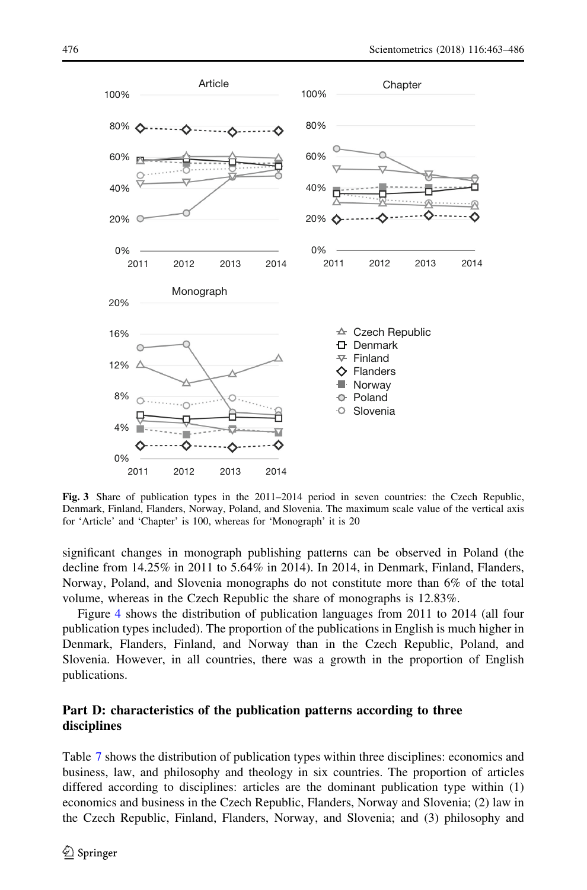<span id="page-13-0"></span>

Fig. 3 Share of publication types in the 2011–2014 period in seven countries: the Czech Republic, Denmark, Finland, Flanders, Norway, Poland, and Slovenia. The maximum scale value of the vertical axis for 'Article' and 'Chapter' is 100, whereas for 'Monograph' it is 20

significant changes in monograph publishing patterns can be observed in Poland (the decline from 14.25% in 2011 to 5.64% in 2014). In 2014, in Denmark, Finland, Flanders, Norway, Poland, and Slovenia monographs do not constitute more than 6% of the total volume, whereas in the Czech Republic the share of monographs is 12.83%.

Figure [4](#page-14-0) shows the distribution of publication languages from 2011 to 2014 (all four publication types included). The proportion of the publications in English is much higher in Denmark, Flanders, Finland, and Norway than in the Czech Republic, Poland, and Slovenia. However, in all countries, there was a growth in the proportion of English publications.

#### Part D: characteristics of the publication patterns according to three disciplines

Table [7](#page-15-0) shows the distribution of publication types within three disciplines: economics and business, law, and philosophy and theology in six countries. The proportion of articles differed according to disciplines: articles are the dominant publication type within (1) economics and business in the Czech Republic, Flanders, Norway and Slovenia; (2) law in the Czech Republic, Finland, Flanders, Norway, and Slovenia; and (3) philosophy and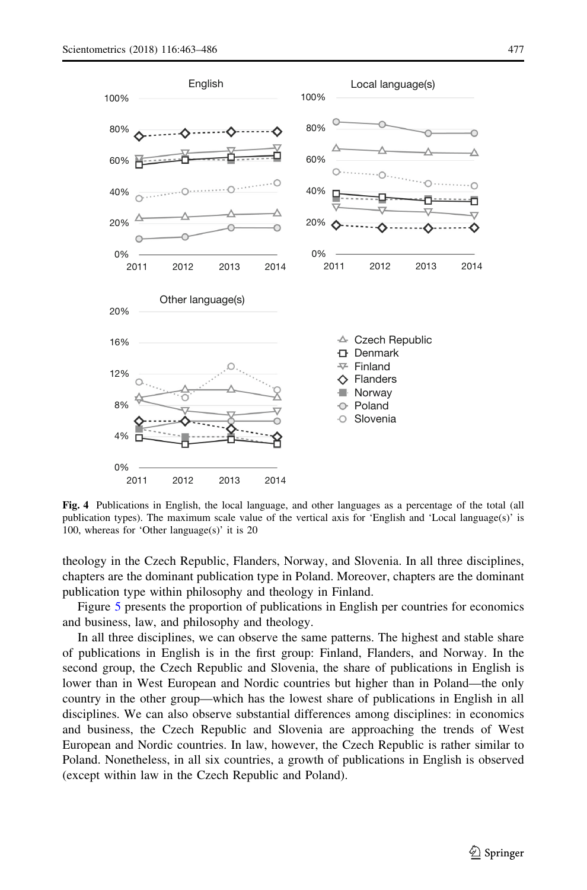<span id="page-14-0"></span>

Fig. 4 Publications in English, the local language, and other languages as a percentage of the total (all publication types). The maximum scale value of the vertical axis for 'English and 'Local language(s)' is 100, whereas for 'Other language(s)' it is 20

theology in the Czech Republic, Flanders, Norway, and Slovenia. In all three disciplines, chapters are the dominant publication type in Poland. Moreover, chapters are the dominant publication type within philosophy and theology in Finland.

Figure [5](#page-16-0) presents the proportion of publications in English per countries for economics and business, law, and philosophy and theology.

In all three disciplines, we can observe the same patterns. The highest and stable share of publications in English is in the first group: Finland, Flanders, and Norway. In the second group, the Czech Republic and Slovenia, the share of publications in English is lower than in West European and Nordic countries but higher than in Poland—the only country in the other group—which has the lowest share of publications in English in all disciplines. We can also observe substantial differences among disciplines: in economics and business, the Czech Republic and Slovenia are approaching the trends of West European and Nordic countries. In law, however, the Czech Republic is rather similar to Poland. Nonetheless, in all six countries, a growth of publications in English is observed (except within law in the Czech Republic and Poland).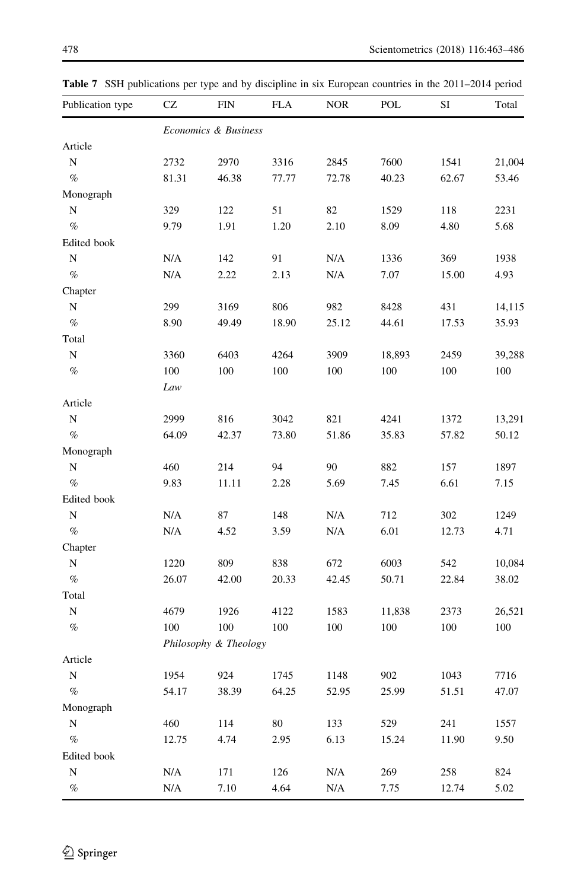| Economics & Business<br>Article<br>$\mathbf N$<br>2732<br>2970<br>3316<br>2845<br>7600<br>1541<br>$\%$<br>46.38<br>62.67<br>81.31<br>77.77<br>72.78<br>40.23<br>Monograph<br>N<br>329<br>122<br>51<br>82<br>118<br>2231<br>1529<br>$\%$<br>9.79<br>1.91<br>1.20<br>2.10<br>8.09<br>5.68<br>4.80<br>Edited book<br>$\mathbf N$<br>N/A<br>91<br>N/A<br>369<br>1938<br>142<br>1336<br>$\%$<br>N/A<br>2.13<br>N/A<br>7.07<br>4.93<br>2.22<br>15.00<br>Chapter<br>N<br>299<br>3169<br>806<br>982<br>431<br>8428<br>$\%$<br>8.90<br>49.49<br>18.90<br>25.12<br>44.61<br>17.53<br>Total<br>$\mathbf N$<br>6403<br>4264<br>3909<br>3360<br>18,893<br>2459<br>$\%$<br>100<br>100<br>100<br>100<br>100<br>100<br>100<br>Law<br>Article<br>$\mathbf N$<br>2999<br>816<br>3042<br>821<br>4241<br>1372<br>$\%$<br>64.09<br>42.37<br>51.86<br>57.82<br>50.12<br>73.80<br>35.83<br>Monograph<br>460<br>214<br>94<br>90<br>882<br>1897<br>N<br>157<br>$\%$<br>11.11<br>5.69<br>6.61<br>9.83<br>2.28<br>7.45<br>7.15<br>Edited book<br>$\mathbf N$<br>N/A<br>87<br>148<br>N/A<br>712<br>302<br>1249<br>$\%$<br>N/A<br>N/A<br>6.01<br>4.71<br>4.52<br>3.59<br>12.73<br>Chapter<br>N<br>1220<br>809<br>838<br>672<br>6003<br>542<br>$\%$<br>26.07<br>42.45<br>50.71<br>42.00<br>20.33<br>22.84<br>Total<br>N<br>4679<br>1926<br>2373<br>4122<br>1583<br>11,838<br>$\%$<br>100<br>100<br>100<br>100<br>100<br>100<br>100<br>Philosophy & Theology | Publication type | CZ | <b>FIN</b> | <b>FLA</b> | <b>NOR</b> | POL | SI | Total  |  |
|-------------------------------------------------------------------------------------------------------------------------------------------------------------------------------------------------------------------------------------------------------------------------------------------------------------------------------------------------------------------------------------------------------------------------------------------------------------------------------------------------------------------------------------------------------------------------------------------------------------------------------------------------------------------------------------------------------------------------------------------------------------------------------------------------------------------------------------------------------------------------------------------------------------------------------------------------------------------------------------------------------------------------------------------------------------------------------------------------------------------------------------------------------------------------------------------------------------------------------------------------------------------------------------------------------------------------------------------------------------------------------------------------------------------------------|------------------|----|------------|------------|------------|-----|----|--------|--|
|                                                                                                                                                                                                                                                                                                                                                                                                                                                                                                                                                                                                                                                                                                                                                                                                                                                                                                                                                                                                                                                                                                                                                                                                                                                                                                                                                                                                                               |                  |    |            |            |            |     |    |        |  |
|                                                                                                                                                                                                                                                                                                                                                                                                                                                                                                                                                                                                                                                                                                                                                                                                                                                                                                                                                                                                                                                                                                                                                                                                                                                                                                                                                                                                                               |                  |    |            |            |            |     |    |        |  |
|                                                                                                                                                                                                                                                                                                                                                                                                                                                                                                                                                                                                                                                                                                                                                                                                                                                                                                                                                                                                                                                                                                                                                                                                                                                                                                                                                                                                                               |                  |    |            |            |            |     |    | 21,004 |  |
|                                                                                                                                                                                                                                                                                                                                                                                                                                                                                                                                                                                                                                                                                                                                                                                                                                                                                                                                                                                                                                                                                                                                                                                                                                                                                                                                                                                                                               |                  |    |            |            |            |     |    | 53.46  |  |
|                                                                                                                                                                                                                                                                                                                                                                                                                                                                                                                                                                                                                                                                                                                                                                                                                                                                                                                                                                                                                                                                                                                                                                                                                                                                                                                                                                                                                               |                  |    |            |            |            |     |    |        |  |
|                                                                                                                                                                                                                                                                                                                                                                                                                                                                                                                                                                                                                                                                                                                                                                                                                                                                                                                                                                                                                                                                                                                                                                                                                                                                                                                                                                                                                               |                  |    |            |            |            |     |    |        |  |
|                                                                                                                                                                                                                                                                                                                                                                                                                                                                                                                                                                                                                                                                                                                                                                                                                                                                                                                                                                                                                                                                                                                                                                                                                                                                                                                                                                                                                               |                  |    |            |            |            |     |    |        |  |
|                                                                                                                                                                                                                                                                                                                                                                                                                                                                                                                                                                                                                                                                                                                                                                                                                                                                                                                                                                                                                                                                                                                                                                                                                                                                                                                                                                                                                               |                  |    |            |            |            |     |    |        |  |
|                                                                                                                                                                                                                                                                                                                                                                                                                                                                                                                                                                                                                                                                                                                                                                                                                                                                                                                                                                                                                                                                                                                                                                                                                                                                                                                                                                                                                               |                  |    |            |            |            |     |    |        |  |
|                                                                                                                                                                                                                                                                                                                                                                                                                                                                                                                                                                                                                                                                                                                                                                                                                                                                                                                                                                                                                                                                                                                                                                                                                                                                                                                                                                                                                               |                  |    |            |            |            |     |    |        |  |
|                                                                                                                                                                                                                                                                                                                                                                                                                                                                                                                                                                                                                                                                                                                                                                                                                                                                                                                                                                                                                                                                                                                                                                                                                                                                                                                                                                                                                               |                  |    |            |            |            |     |    |        |  |
|                                                                                                                                                                                                                                                                                                                                                                                                                                                                                                                                                                                                                                                                                                                                                                                                                                                                                                                                                                                                                                                                                                                                                                                                                                                                                                                                                                                                                               |                  |    |            |            |            |     |    | 14,115 |  |
|                                                                                                                                                                                                                                                                                                                                                                                                                                                                                                                                                                                                                                                                                                                                                                                                                                                                                                                                                                                                                                                                                                                                                                                                                                                                                                                                                                                                                               |                  |    |            |            |            |     |    | 35.93  |  |
|                                                                                                                                                                                                                                                                                                                                                                                                                                                                                                                                                                                                                                                                                                                                                                                                                                                                                                                                                                                                                                                                                                                                                                                                                                                                                                                                                                                                                               |                  |    |            |            |            |     |    |        |  |
|                                                                                                                                                                                                                                                                                                                                                                                                                                                                                                                                                                                                                                                                                                                                                                                                                                                                                                                                                                                                                                                                                                                                                                                                                                                                                                                                                                                                                               |                  |    |            |            |            |     |    | 39,288 |  |
|                                                                                                                                                                                                                                                                                                                                                                                                                                                                                                                                                                                                                                                                                                                                                                                                                                                                                                                                                                                                                                                                                                                                                                                                                                                                                                                                                                                                                               |                  |    |            |            |            |     |    |        |  |
|                                                                                                                                                                                                                                                                                                                                                                                                                                                                                                                                                                                                                                                                                                                                                                                                                                                                                                                                                                                                                                                                                                                                                                                                                                                                                                                                                                                                                               |                  |    |            |            |            |     |    |        |  |
|                                                                                                                                                                                                                                                                                                                                                                                                                                                                                                                                                                                                                                                                                                                                                                                                                                                                                                                                                                                                                                                                                                                                                                                                                                                                                                                                                                                                                               |                  |    |            |            |            |     |    |        |  |
|                                                                                                                                                                                                                                                                                                                                                                                                                                                                                                                                                                                                                                                                                                                                                                                                                                                                                                                                                                                                                                                                                                                                                                                                                                                                                                                                                                                                                               |                  |    |            |            |            |     |    | 13,291 |  |
|                                                                                                                                                                                                                                                                                                                                                                                                                                                                                                                                                                                                                                                                                                                                                                                                                                                                                                                                                                                                                                                                                                                                                                                                                                                                                                                                                                                                                               |                  |    |            |            |            |     |    |        |  |
|                                                                                                                                                                                                                                                                                                                                                                                                                                                                                                                                                                                                                                                                                                                                                                                                                                                                                                                                                                                                                                                                                                                                                                                                                                                                                                                                                                                                                               |                  |    |            |            |            |     |    |        |  |
|                                                                                                                                                                                                                                                                                                                                                                                                                                                                                                                                                                                                                                                                                                                                                                                                                                                                                                                                                                                                                                                                                                                                                                                                                                                                                                                                                                                                                               |                  |    |            |            |            |     |    |        |  |
|                                                                                                                                                                                                                                                                                                                                                                                                                                                                                                                                                                                                                                                                                                                                                                                                                                                                                                                                                                                                                                                                                                                                                                                                                                                                                                                                                                                                                               |                  |    |            |            |            |     |    |        |  |
|                                                                                                                                                                                                                                                                                                                                                                                                                                                                                                                                                                                                                                                                                                                                                                                                                                                                                                                                                                                                                                                                                                                                                                                                                                                                                                                                                                                                                               |                  |    |            |            |            |     |    |        |  |
|                                                                                                                                                                                                                                                                                                                                                                                                                                                                                                                                                                                                                                                                                                                                                                                                                                                                                                                                                                                                                                                                                                                                                                                                                                                                                                                                                                                                                               |                  |    |            |            |            |     |    |        |  |
|                                                                                                                                                                                                                                                                                                                                                                                                                                                                                                                                                                                                                                                                                                                                                                                                                                                                                                                                                                                                                                                                                                                                                                                                                                                                                                                                                                                                                               |                  |    |            |            |            |     |    |        |  |
|                                                                                                                                                                                                                                                                                                                                                                                                                                                                                                                                                                                                                                                                                                                                                                                                                                                                                                                                                                                                                                                                                                                                                                                                                                                                                                                                                                                                                               |                  |    |            |            |            |     |    |        |  |
|                                                                                                                                                                                                                                                                                                                                                                                                                                                                                                                                                                                                                                                                                                                                                                                                                                                                                                                                                                                                                                                                                                                                                                                                                                                                                                                                                                                                                               |                  |    |            |            |            |     |    | 10,084 |  |
|                                                                                                                                                                                                                                                                                                                                                                                                                                                                                                                                                                                                                                                                                                                                                                                                                                                                                                                                                                                                                                                                                                                                                                                                                                                                                                                                                                                                                               |                  |    |            |            |            |     |    | 38.02  |  |
|                                                                                                                                                                                                                                                                                                                                                                                                                                                                                                                                                                                                                                                                                                                                                                                                                                                                                                                                                                                                                                                                                                                                                                                                                                                                                                                                                                                                                               |                  |    |            |            |            |     |    |        |  |
|                                                                                                                                                                                                                                                                                                                                                                                                                                                                                                                                                                                                                                                                                                                                                                                                                                                                                                                                                                                                                                                                                                                                                                                                                                                                                                                                                                                                                               |                  |    |            |            |            |     |    | 26,521 |  |
|                                                                                                                                                                                                                                                                                                                                                                                                                                                                                                                                                                                                                                                                                                                                                                                                                                                                                                                                                                                                                                                                                                                                                                                                                                                                                                                                                                                                                               |                  |    |            |            |            |     |    |        |  |
|                                                                                                                                                                                                                                                                                                                                                                                                                                                                                                                                                                                                                                                                                                                                                                                                                                                                                                                                                                                                                                                                                                                                                                                                                                                                                                                                                                                                                               |                  |    |            |            |            |     |    |        |  |
| Article                                                                                                                                                                                                                                                                                                                                                                                                                                                                                                                                                                                                                                                                                                                                                                                                                                                                                                                                                                                                                                                                                                                                                                                                                                                                                                                                                                                                                       |                  |    |            |            |            |     |    |        |  |
| N<br>1954<br>924<br>1745<br>1148<br>902<br>1043<br>7716                                                                                                                                                                                                                                                                                                                                                                                                                                                                                                                                                                                                                                                                                                                                                                                                                                                                                                                                                                                                                                                                                                                                                                                                                                                                                                                                                                       |                  |    |            |            |            |     |    |        |  |
| $\%$<br>52.95<br>25.99<br>54.17<br>38.39<br>64.25<br>51.51                                                                                                                                                                                                                                                                                                                                                                                                                                                                                                                                                                                                                                                                                                                                                                                                                                                                                                                                                                                                                                                                                                                                                                                                                                                                                                                                                                    |                  |    |            |            |            |     |    | 47.07  |  |
| Monograph                                                                                                                                                                                                                                                                                                                                                                                                                                                                                                                                                                                                                                                                                                                                                                                                                                                                                                                                                                                                                                                                                                                                                                                                                                                                                                                                                                                                                     |                  |    |            |            |            |     |    |        |  |
| ${\bf N}$<br>460<br>114<br>80<br>133<br>529<br>241<br>1557                                                                                                                                                                                                                                                                                                                                                                                                                                                                                                                                                                                                                                                                                                                                                                                                                                                                                                                                                                                                                                                                                                                                                                                                                                                                                                                                                                    |                  |    |            |            |            |     |    |        |  |
| $\%$<br>6.13<br>12.75<br>4.74<br>2.95<br>15.24<br>11.90<br>9.50                                                                                                                                                                                                                                                                                                                                                                                                                                                                                                                                                                                                                                                                                                                                                                                                                                                                                                                                                                                                                                                                                                                                                                                                                                                                                                                                                               |                  |    |            |            |            |     |    |        |  |
| Edited book                                                                                                                                                                                                                                                                                                                                                                                                                                                                                                                                                                                                                                                                                                                                                                                                                                                                                                                                                                                                                                                                                                                                                                                                                                                                                                                                                                                                                   |                  |    |            |            |            |     |    |        |  |
| ${\bf N}$<br>N/A<br>171<br>126<br>N/A<br>269<br>258<br>824                                                                                                                                                                                                                                                                                                                                                                                                                                                                                                                                                                                                                                                                                                                                                                                                                                                                                                                                                                                                                                                                                                                                                                                                                                                                                                                                                                    |                  |    |            |            |            |     |    |        |  |
| $\%$<br>$\rm N/A$<br>7.10<br>4.64<br>N/A<br>7.75<br>12.74<br>5.02                                                                                                                                                                                                                                                                                                                                                                                                                                                                                                                                                                                                                                                                                                                                                                                                                                                                                                                                                                                                                                                                                                                                                                                                                                                                                                                                                             |                  |    |            |            |            |     |    |        |  |

<span id="page-15-0"></span>Table 7 SSH publications per type and by discipline in six European countries in the 2011–2014 period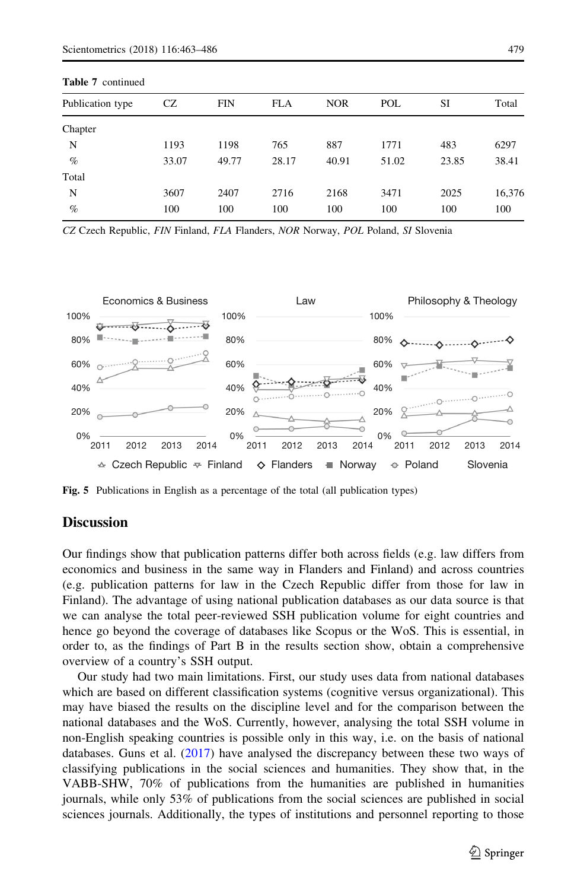<span id="page-16-0"></span>

| <b>Table 7</b> continued |       |            |            |            |       |       |        |  |  |  |  |
|--------------------------|-------|------------|------------|------------|-------|-------|--------|--|--|--|--|
| Publication type         | CZ    | <b>FIN</b> | <b>FLA</b> | <b>NOR</b> | POL   | SI    | Total  |  |  |  |  |
| Chapter                  |       |            |            |            |       |       |        |  |  |  |  |
| N                        | 1193  | 1198       | 765        | 887        | 1771  | 483   | 6297   |  |  |  |  |
| $\%$                     | 33.07 | 49.77      | 28.17      | 40.91      | 51.02 | 23.85 | 38.41  |  |  |  |  |
| Total                    |       |            |            |            |       |       |        |  |  |  |  |
| N                        | 3607  | 2407       | 2716       | 2168       | 3471  | 2025  | 16,376 |  |  |  |  |
| $\%$                     | 100   | 100        | 100        | 100        | 100   | 100   | 100    |  |  |  |  |

CZ Czech Republic, FIN Finland, FLA Flanders, NOR Norway, POL Poland, SI Slovenia

![](_page_16_Figure_3.jpeg)

Fig. 5 Publications in English as a percentage of the total (all publication types)

#### **Discussion**

Our findings show that publication patterns differ both across fields (e.g. law differs from economics and business in the same way in Flanders and Finland) and across countries (e.g. publication patterns for law in the Czech Republic differ from those for law in Finland). The advantage of using national publication databases as our data source is that we can analyse the total peer-reviewed SSH publication volume for eight countries and hence go beyond the coverage of databases like Scopus or the WoS. This is essential, in order to, as the findings of Part B in the results section show, obtain a comprehensive overview of a country's SSH output.

Our study had two main limitations. First, our study uses data from national databases which are based on different classification systems (cognitive versus organizational). This may have biased the results on the discipline level and for the comparison between the national databases and the WoS. Currently, however, analysing the total SSH volume in non-English speaking countries is possible only in this way, i.e. on the basis of national databases. Guns et al. ([2017](#page-21-0)) have analysed the discrepancy between these two ways of classifying publications in the social sciences and humanities. They show that, in the VABB-SHW, 70% of publications from the humanities are published in humanities journals, while only 53% of publications from the social sciences are published in social sciences journals. Additionally, the types of institutions and personnel reporting to those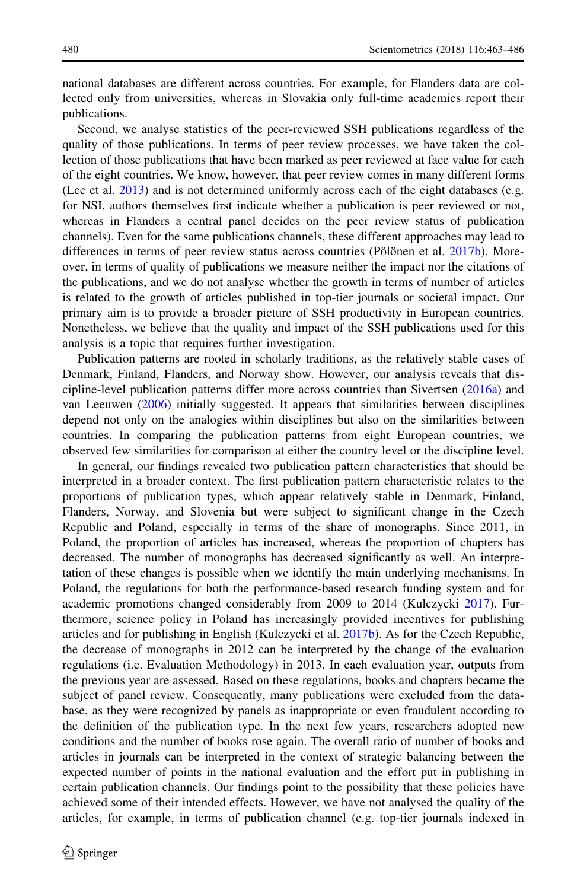national databases are different across countries. For example, for Flanders data are collected only from universities, whereas in Slovakia only full-time academics report their publications.

Second, we analyse statistics of the peer-reviewed SSH publications regardless of the quality of those publications. In terms of peer review processes, we have taken the collection of those publications that have been marked as peer reviewed at face value for each of the eight countries. We know, however, that peer review comes in many different forms (Lee et al. [2013](#page-22-0)) and is not determined uniformly across each of the eight databases (e.g. for NSI, authors themselves first indicate whether a publication is peer reviewed or not, whereas in Flanders a central panel decides on the peer review status of publication channels). Even for the same publications channels, these different approaches may lead to differences in terms of peer review status across countries (Pölönen et al. [2017b](#page-22-0)). Moreover, in terms of quality of publications we measure neither the impact nor the citations of the publications, and we do not analyse whether the growth in terms of number of articles is related to the growth of articles published in top-tier journals or societal impact. Our primary aim is to provide a broader picture of SSH productivity in European countries. Nonetheless, we believe that the quality and impact of the SSH publications used for this analysis is a topic that requires further investigation.

Publication patterns are rooted in scholarly traditions, as the relatively stable cases of Denmark, Finland, Flanders, and Norway show. However, our analysis reveals that discipline-level publication patterns differ more across countries than Sivertsen [\(2016a\)](#page-23-0) and van Leeuwen [\(2006](#page-23-0)) initially suggested. It appears that similarities between disciplines depend not only on the analogies within disciplines but also on the similarities between countries. In comparing the publication patterns from eight European countries, we observed few similarities for comparison at either the country level or the discipline level.

In general, our findings revealed two publication pattern characteristics that should be interpreted in a broader context. The first publication pattern characteristic relates to the proportions of publication types, which appear relatively stable in Denmark, Finland, Flanders, Norway, and Slovenia but were subject to significant change in the Czech Republic and Poland, especially in terms of the share of monographs. Since 2011, in Poland, the proportion of articles has increased, whereas the proportion of chapters has decreased. The number of monographs has decreased significantly as well. An interpretation of these changes is possible when we identify the main underlying mechanisms. In Poland, the regulations for both the performance-based research funding system and for academic promotions changed considerably from 2009 to 2014 (Kulczycki [2017\)](#page-22-0). Furthermore, science policy in Poland has increasingly provided incentives for publishing articles and for publishing in English (Kulczycki et al. [2017b\)](#page-22-0). As for the Czech Republic, the decrease of monographs in 2012 can be interpreted by the change of the evaluation regulations (i.e. Evaluation Methodology) in 2013. In each evaluation year, outputs from the previous year are assessed. Based on these regulations, books and chapters became the subject of panel review. Consequently, many publications were excluded from the database, as they were recognized by panels as inappropriate or even fraudulent according to the definition of the publication type. In the next few years, researchers adopted new conditions and the number of books rose again. The overall ratio of number of books and articles in journals can be interpreted in the context of strategic balancing between the expected number of points in the national evaluation and the effort put in publishing in certain publication channels. Our findings point to the possibility that these policies have achieved some of their intended effects. However, we have not analysed the quality of the articles, for example, in terms of publication channel (e.g. top-tier journals indexed in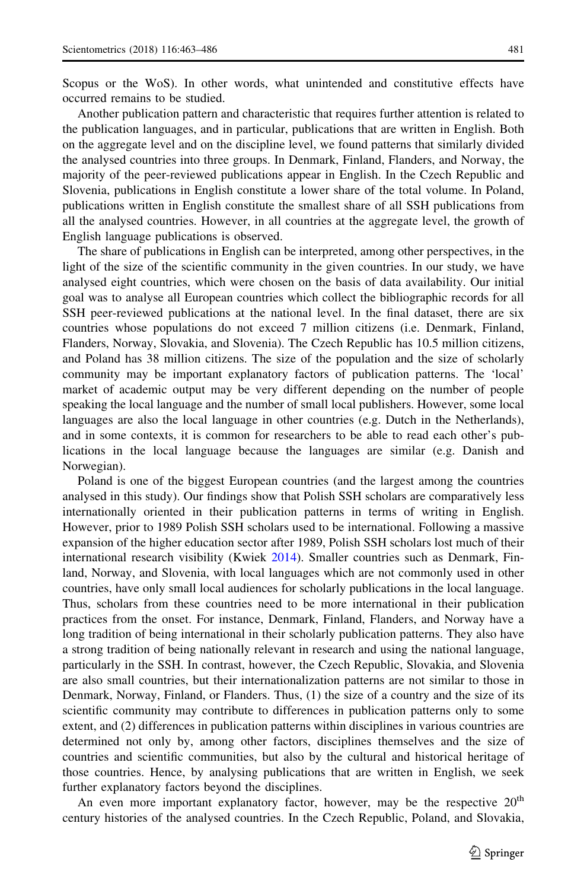Scopus or the WoS). In other words, what unintended and constitutive effects have occurred remains to be studied.

Another publication pattern and characteristic that requires further attention is related to the publication languages, and in particular, publications that are written in English. Both on the aggregate level and on the discipline level, we found patterns that similarly divided the analysed countries into three groups. In Denmark, Finland, Flanders, and Norway, the majority of the peer-reviewed publications appear in English. In the Czech Republic and Slovenia, publications in English constitute a lower share of the total volume. In Poland, publications written in English constitute the smallest share of all SSH publications from all the analysed countries. However, in all countries at the aggregate level, the growth of English language publications is observed.

The share of publications in English can be interpreted, among other perspectives, in the light of the size of the scientific community in the given countries. In our study, we have analysed eight countries, which were chosen on the basis of data availability. Our initial goal was to analyse all European countries which collect the bibliographic records for all SSH peer-reviewed publications at the national level. In the final dataset, there are six countries whose populations do not exceed 7 million citizens (i.e. Denmark, Finland, Flanders, Norway, Slovakia, and Slovenia). The Czech Republic has 10.5 million citizens, and Poland has 38 million citizens. The size of the population and the size of scholarly community may be important explanatory factors of publication patterns. The 'local' market of academic output may be very different depending on the number of people speaking the local language and the number of small local publishers. However, some local languages are also the local language in other countries (e.g. Dutch in the Netherlands), and in some contexts, it is common for researchers to be able to read each other's publications in the local language because the languages are similar (e.g. Danish and Norwegian).

Poland is one of the biggest European countries (and the largest among the countries analysed in this study). Our findings show that Polish SSH scholars are comparatively less internationally oriented in their publication patterns in terms of writing in English. However, prior to 1989 Polish SSH scholars used to be international. Following a massive expansion of the higher education sector after 1989, Polish SSH scholars lost much of their international research visibility (Kwiek [2014](#page-22-0)). Smaller countries such as Denmark, Finland, Norway, and Slovenia, with local languages which are not commonly used in other countries, have only small local audiences for scholarly publications in the local language. Thus, scholars from these countries need to be more international in their publication practices from the onset. For instance, Denmark, Finland, Flanders, and Norway have a long tradition of being international in their scholarly publication patterns. They also have a strong tradition of being nationally relevant in research and using the national language, particularly in the SSH. In contrast, however, the Czech Republic, Slovakia, and Slovenia are also small countries, but their internationalization patterns are not similar to those in Denmark, Norway, Finland, or Flanders. Thus, (1) the size of a country and the size of its scientific community may contribute to differences in publication patterns only to some extent, and (2) differences in publication patterns within disciplines in various countries are determined not only by, among other factors, disciplines themselves and the size of countries and scientific communities, but also by the cultural and historical heritage of those countries. Hence, by analysing publications that are written in English, we seek further explanatory factors beyond the disciplines.

An even more important explanatory factor, however, may be the respective  $20<sup>th</sup>$ century histories of the analysed countries. In the Czech Republic, Poland, and Slovakia,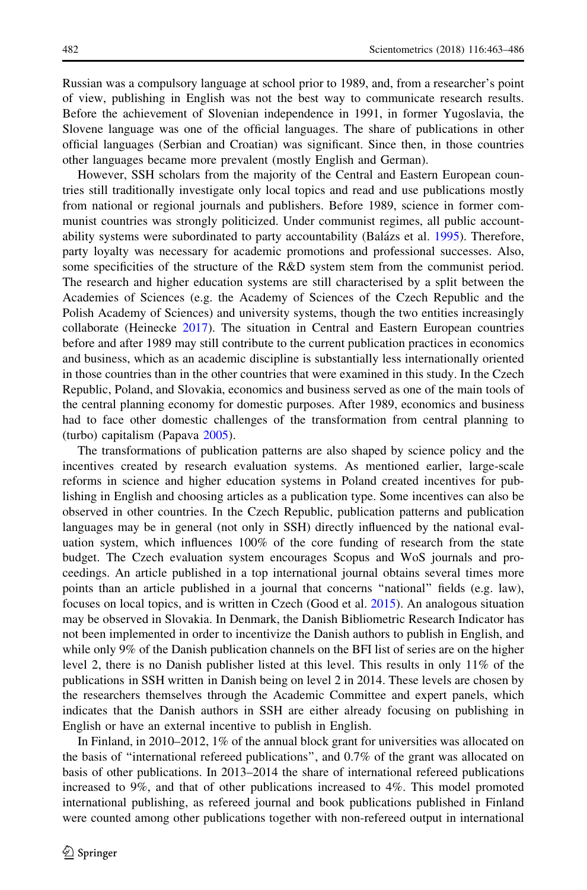Russian was a compulsory language at school prior to 1989, and, from a researcher's point of view, publishing in English was not the best way to communicate research results. Before the achievement of Slovenian independence in 1991, in former Yugoslavia, the Slovene language was one of the official languages. The share of publications in other official languages (Serbian and Croatian) was significant. Since then, in those countries other languages became more prevalent (mostly English and German).

However, SSH scholars from the majority of the Central and Eastern European countries still traditionally investigate only local topics and read and use publications mostly from national or regional journals and publishers. Before 1989, science in former communist countries was strongly politicized. Under communist regimes, all public account-ability systems were subordinated to party accountability (Balázs et al. [1995](#page-21-0)). Therefore, party loyalty was necessary for academic promotions and professional successes. Also, some specificities of the structure of the R&D system stem from the communist period. The research and higher education systems are still characterised by a split between the Academies of Sciences (e.g. the Academy of Sciences of the Czech Republic and the Polish Academy of Sciences) and university systems, though the two entities increasingly collaborate (Heinecke [2017\)](#page-21-0). The situation in Central and Eastern European countries before and after 1989 may still contribute to the current publication practices in economics and business, which as an academic discipline is substantially less internationally oriented in those countries than in the other countries that were examined in this study. In the Czech Republic, Poland, and Slovakia, economics and business served as one of the main tools of the central planning economy for domestic purposes. After 1989, economics and business had to face other domestic challenges of the transformation from central planning to (turbo) capitalism (Papava [2005](#page-22-0)).

The transformations of publication patterns are also shaped by science policy and the incentives created by research evaluation systems. As mentioned earlier, large-scale reforms in science and higher education systems in Poland created incentives for publishing in English and choosing articles as a publication type. Some incentives can also be observed in other countries. In the Czech Republic, publication patterns and publication languages may be in general (not only in SSH) directly influenced by the national evaluation system, which influences 100% of the core funding of research from the state budget. The Czech evaluation system encourages Scopus and WoS journals and proceedings. An article published in a top international journal obtains several times more points than an article published in a journal that concerns ''national'' fields (e.g. law), focuses on local topics, and is written in Czech (Good et al. [2015\)](#page-21-0). An analogous situation may be observed in Slovakia. In Denmark, the Danish Bibliometric Research Indicator has not been implemented in order to incentivize the Danish authors to publish in English, and while only 9% of the Danish publication channels on the BFI list of series are on the higher level 2, there is no Danish publisher listed at this level. This results in only 11% of the publications in SSH written in Danish being on level 2 in 2014. These levels are chosen by the researchers themselves through the Academic Committee and expert panels, which indicates that the Danish authors in SSH are either already focusing on publishing in English or have an external incentive to publish in English.

In Finland, in 2010–2012, 1% of the annual block grant for universities was allocated on the basis of ''international refereed publications'', and 0.7% of the grant was allocated on basis of other publications. In 2013–2014 the share of international refereed publications increased to 9%, and that of other publications increased to 4%. This model promoted international publishing, as refereed journal and book publications published in Finland were counted among other publications together with non-refereed output in international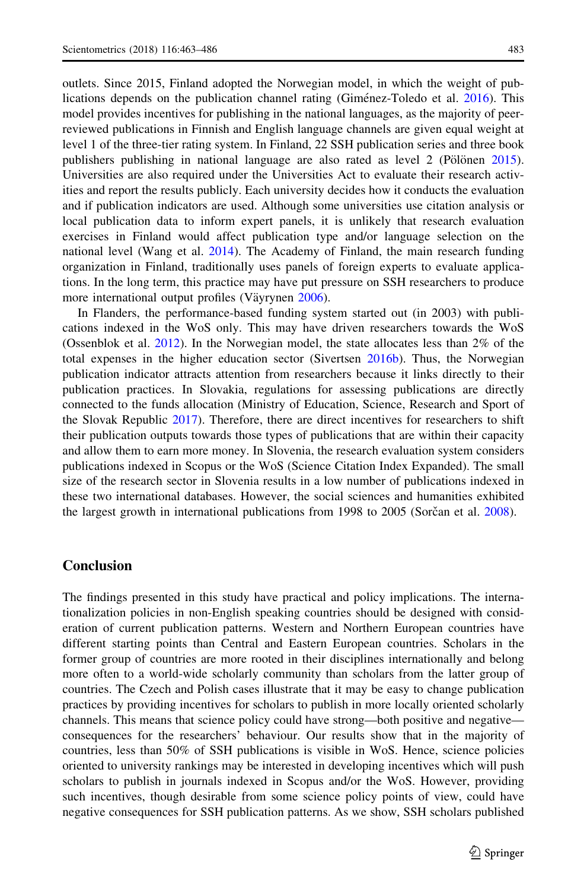outlets. Since 2015, Finland adopted the Norwegian model, in which the weight of publications depends on the publication channel rating (Gimetnez-Toledo et al.  $2016$ ). This model provides incentives for publishing in the national languages, as the majority of peerreviewed publications in Finnish and English language channels are given equal weight at level 1 of the three-tier rating system. In Finland, 22 SSH publication series and three book publishers publishing in national language are also rated as level  $2$  (Pölönen [2015](#page-22-0)). Universities are also required under the Universities Act to evaluate their research activities and report the results publicly. Each university decides how it conducts the evaluation and if publication indicators are used. Although some universities use citation analysis or local publication data to inform expert panels, it is unlikely that research evaluation exercises in Finland would affect publication type and/or language selection on the national level (Wang et al. [2014](#page-23-0)). The Academy of Finland, the main research funding organization in Finland, traditionally uses panels of foreign experts to evaluate applications. In the long term, this practice may have put pressure on SSH researchers to produce more international output profiles (Väyrynen [2006](#page-23-0)).

In Flanders, the performance-based funding system started out (in 2003) with publications indexed in the WoS only. This may have driven researchers towards the WoS (Ossenblok et al. [2012\)](#page-22-0). In the Norwegian model, the state allocates less than 2% of the total expenses in the higher education sector (Sivertsen [2016b\)](#page-23-0). Thus, the Norwegian publication indicator attracts attention from researchers because it links directly to their publication practices. In Slovakia, regulations for assessing publications are directly connected to the funds allocation (Ministry of Education, Science, Research and Sport of the Slovak Republic [2017](#page-22-0)). Therefore, there are direct incentives for researchers to shift their publication outputs towards those types of publications that are within their capacity and allow them to earn more money. In Slovenia, the research evaluation system considers publications indexed in Scopus or the WoS (Science Citation Index Expanded). The small size of the research sector in Slovenia results in a low number of publications indexed in these two international databases. However, the social sciences and humanities exhibited the largest growth in international publications from 1998 to 2005 (Sorčan et al. [2008\)](#page-23-0).

## Conclusion

The findings presented in this study have practical and policy implications. The internationalization policies in non-English speaking countries should be designed with consideration of current publication patterns. Western and Northern European countries have different starting points than Central and Eastern European countries. Scholars in the former group of countries are more rooted in their disciplines internationally and belong more often to a world-wide scholarly community than scholars from the latter group of countries. The Czech and Polish cases illustrate that it may be easy to change publication practices by providing incentives for scholars to publish in more locally oriented scholarly channels. This means that science policy could have strong—both positive and negative consequences for the researchers' behaviour. Our results show that in the majority of countries, less than 50% of SSH publications is visible in WoS. Hence, science policies oriented to university rankings may be interested in developing incentives which will push scholars to publish in journals indexed in Scopus and/or the WoS. However, providing such incentives, though desirable from some science policy points of view, could have negative consequences for SSH publication patterns. As we show, SSH scholars published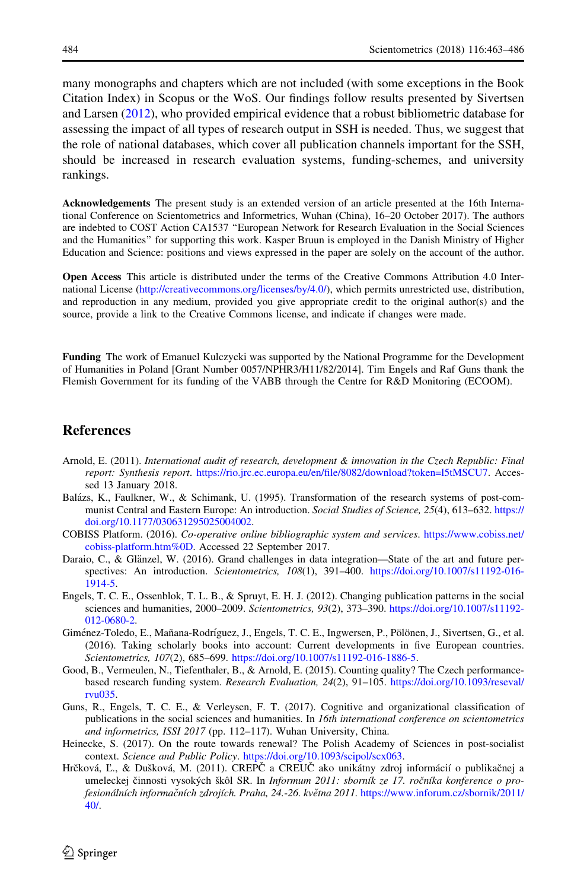<span id="page-21-0"></span>many monographs and chapters which are not included (with some exceptions in the Book Citation Index) in Scopus or the WoS. Our findings follow results presented by Sivertsen and Larsen ([2012\)](#page-23-0), who provided empirical evidence that a robust bibliometric database for assessing the impact of all types of research output in SSH is needed. Thus, we suggest that the role of national databases, which cover all publication channels important for the SSH, should be increased in research evaluation systems, funding-schemes, and university rankings.

Acknowledgements The present study is an extended version of an article presented at the 16th International Conference on Scientometrics and Informetrics, Wuhan (China), 16–20 October 2017). The authors are indebted to COST Action CA1537 ''European Network for Research Evaluation in the Social Sciences and the Humanities'' for supporting this work. Kasper Bruun is employed in the Danish Ministry of Higher Education and Science: positions and views expressed in the paper are solely on the account of the author.

Open Access This article is distributed under the terms of the Creative Commons Attribution 4.0 International License [\(http://creativecommons.org/licenses/by/4.0/\)](http://creativecommons.org/licenses/by/4.0/), which permits unrestricted use, distribution, and reproduction in any medium, provided you give appropriate credit to the original author(s) and the source, provide a link to the Creative Commons license, and indicate if changes were made.

Funding The work of Emanuel Kulczycki was supported by the National Programme for the Development of Humanities in Poland [Grant Number 0057/NPHR3/H11/82/2014]. Tim Engels and Raf Guns thank the Flemish Government for its funding of the VABB through the Centre for R&D Monitoring (ECOOM).

## References

- Arnold, E. (2011). International audit of research, development & innovation in the Czech Republic: Final report: Synthesis report. <https://rio.jrc.ec.europa.eu/en/file/8082/download?token=l5tMSCU7>. Accessed 13 January 2018.
- Balázs, K., Faulkner, W., & Schimank, U. (1995). Transformation of the research systems of post-communist Central and Eastern Europe: An introduction. Social Studies of Science, 25(4), 613–632. [https://](https://doi.org/10.1177/030631295025004002) [doi.org/10.1177/030631295025004002](https://doi.org/10.1177/030631295025004002).
- COBISS Platform. (2016). Co-operative online bibliographic system and services. [https://www.cobiss.net/](https://www.cobiss.net/cobiss-platform.htm%250D) [cobiss-platform.htm%0D.](https://www.cobiss.net/cobiss-platform.htm%250D) Accessed 22 September 2017.
- Daraio, C., & Glänzel, W. (2016). Grand challenges in data integration—State of the art and future perspectives: An introduction. Scientometrics, 108(1), 391–400. [https://doi.org/10.1007/s11192-016-](https://doi.org/10.1007/s11192-016-1914-5) [1914-5](https://doi.org/10.1007/s11192-016-1914-5).
- Engels, T. C. E., Ossenblok, T. L. B., & Spruyt, E. H. J. (2012). Changing publication patterns in the social sciences and humanities, 2000–2009. Scientometrics, 93(2), 373–390. [https://doi.org/10.1007/s11192-](https://doi.org/10.1007/s11192-012-0680-2) [012-0680-2.](https://doi.org/10.1007/s11192-012-0680-2)
- Giménez-Toledo, E., Mañana-Rodríguez, J., Engels, T. C. E., Ingwersen, P., Pölönen, J., Sivertsen, G., et al. (2016). Taking scholarly books into account: Current developments in five European countries. Scientometrics, 107(2), 685-699. [https://doi.org/10.1007/s11192-016-1886-5.](https://doi.org/10.1007/s11192-016-1886-5)
- Good, B., Vermeulen, N., Tiefenthaler, B., & Arnold, E. (2015). Counting quality? The Czech performancebased research funding system. Research Evaluation, 24(2), 91–105. [https://doi.org/10.1093/reseval/](https://doi.org/10.1093/reseval/rvu035) [rvu035](https://doi.org/10.1093/reseval/rvu035).
- Guns, R., Engels, T. C. E., & Verleysen, F. T. (2017). Cognitive and organizational classification of publications in the social sciences and humanities. In 16th international conference on scientometrics and informetrics, ISSI 2017 (pp. 112–117). Wuhan University, China.
- Heinecke, S. (2017). On the route towards renewal? The Polish Academy of Sciences in post-socialist context. Science and Public Policy. <https://doi.org/10.1093/scipol/scx063>.
- Hrčková, Ľ., & Dušková, M. (2011). CREPČ a CREUČ ako unikátny zdroj informácií o publikačnej a umeleckej činnosti vysokých škôl SR. In Informum 2011: sborník ze 17. ročníka konference o profesionálních informačních zdrojích. Praha, 24.-26. května 2011. [https://www.inforum.cz/sbornik/2011/](https://www.inforum.cz/sbornik/2011/40/) [40/.](https://www.inforum.cz/sbornik/2011/40/)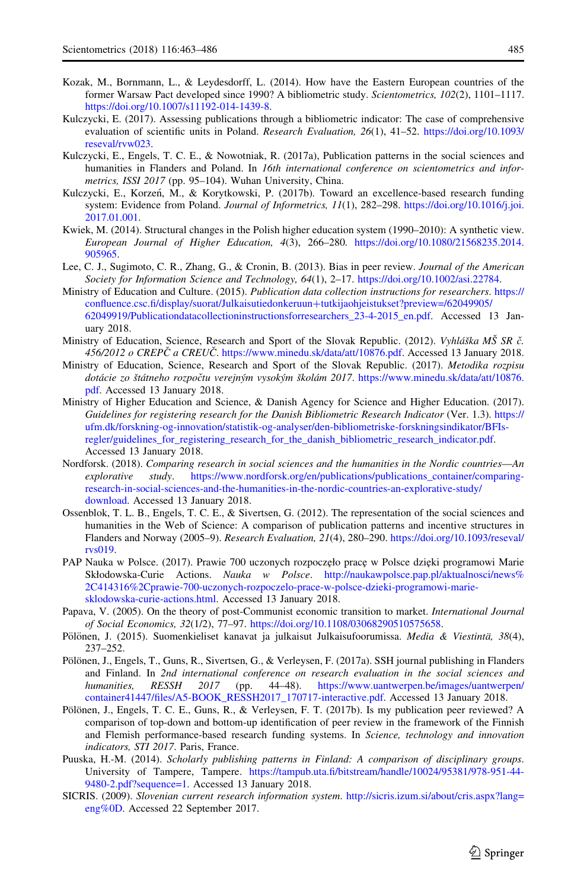- <span id="page-22-0"></span>Kozak, M., Bornmann, L., & Leydesdorff, L. (2014). How have the Eastern European countries of the former Warsaw Pact developed since 1990? A bibliometric study. Scientometrics, 102(2), 1101–1117. [https://doi.org/10.1007/s11192-014-1439-8.](https://doi.org/10.1007/s11192-014-1439-8)
- Kulczycki, E. (2017). Assessing publications through a bibliometric indicator: The case of comprehensive evaluation of scientific units in Poland. Research Evaluation, 26(1), 41–52. [https://doi.org/10.1093/](https://doi.org/10.1093/reseval/rvw023) [reseval/rvw023.](https://doi.org/10.1093/reseval/rvw023)
- Kulczycki, E., Engels, T. C. E., & Nowotniak, R. (2017a), Publication patterns in the social sciences and humanities in Flanders and Poland. In 16th international conference on scientometrics and informetrics, ISSI 2017 (pp. 95–104). Wuhan University, China.
- Kulczycki, E., Korzeń, M., & Korytkowski, P. (2017b). Toward an excellence-based research funding system: Evidence from Poland. Journal of Informetrics, 11(1), 282–298. [https://doi.org/10.1016/j.joi.](https://doi.org/10.1016/j.joi.2017.01.001) [2017.01.001.](https://doi.org/10.1016/j.joi.2017.01.001)
- Kwiek, M. (2014). Structural changes in the Polish higher education system (1990–2010): A synthetic view. European Journal of Higher Education, 4(3), 266–280. [https://doi.org/10.1080/21568235.2014.](https://doi.org/10.1080/21568235.2014.905965) [905965.](https://doi.org/10.1080/21568235.2014.905965)
- Lee, C. J., Sugimoto, C. R., Zhang, G., & Cronin, B. (2013). Bias in peer review. Journal of the American Society for Information Science and Technology, 64(1), 2–17. [https://doi.org/10.1002/asi.22784.](https://doi.org/10.1002/asi.22784)
- Ministry of Education and Culture. (2015). Publication data collection instructions for researchers. [https://](https://confluence.csc.fi/display/suorat/Julkaisutiedonkeruun%2btutkijaohjeistukset%3fpreview%3d/62049905/62049919/Publicationdatacollectioninstructionsforresearchers_23-4-2015_en.pdf) [confluence.csc.fi/display/suorat/Julkaisutiedonkeruun](https://confluence.csc.fi/display/suorat/Julkaisutiedonkeruun%2btutkijaohjeistukset%3fpreview%3d/62049905/62049919/Publicationdatacollectioninstructionsforresearchers_23-4-2015_en.pdf)?tutkijaohjeistukset?preview=/62049905/ [62049919/Publicationdatacollectioninstructionsforresearchers\\_23-4-2015\\_en.pdf](https://confluence.csc.fi/display/suorat/Julkaisutiedonkeruun%2btutkijaohjeistukset%3fpreview%3d/62049905/62049919/Publicationdatacollectioninstructionsforresearchers_23-4-2015_en.pdf). Accessed 13 January 2018.
- Ministry of Education, Science, Research and Sport of the Slovak Republic. (2012). Vyhláška MŠ SR č. 456/2012 o CREPC a CREUC̆. <https://www.minedu.sk/data/att/10876.pdf>. Accessed 13 January 2018.
- Ministry of Education, Science, Research and Sport of the Slovak Republic. (2017). Metodika rozpisu dotácie zo štátneho rozpočtu verejným vysokým školám 2017. [https://www.minedu.sk/data/att/10876.](https://www.minedu.sk/data/att/10876.pdf) [pdf](https://www.minedu.sk/data/att/10876.pdf). Accessed 13 January 2018.
- Ministry of Higher Education and Science, & Danish Agency for Science and Higher Education. (2017). Guidelines for registering research for the Danish Bibliometric Research Indicator (Ver. 1.3). [https://](https://ufm.dk/forskning-og-innovation/statistik-og-analyser/den-bibliometriske-forskningsindikator/BFIs-regler/guidelines_for_registering_research_for_the_danish_bibliometric_research_indicator.pdf) [ufm.dk/forskning-og-innovation/statistik-og-analyser/den-bibliometriske-forskningsindikator/BFIs](https://ufm.dk/forskning-og-innovation/statistik-og-analyser/den-bibliometriske-forskningsindikator/BFIs-regler/guidelines_for_registering_research_for_the_danish_bibliometric_research_indicator.pdf)[regler/guidelines\\_for\\_registering\\_research\\_for\\_the\\_danish\\_bibliometric\\_research\\_indicator.pdf.](https://ufm.dk/forskning-og-innovation/statistik-og-analyser/den-bibliometriske-forskningsindikator/BFIs-regler/guidelines_for_registering_research_for_the_danish_bibliometric_research_indicator.pdf) Accessed 13 January 2018.
- Nordforsk. (2018). Comparing research in social sciences and the humanities in the Nordic countries—An explorative study. https://www.nordforsk.org/en/publications/publications container/comparing[research-in-social-sciences-and-the-humanities-in-the-nordic-countries-an-explorative-study/](https://www.nordforsk.org/en/publications/publications_container/comparing-research-in-social-sciences-and-the-humanities-in-the-nordic-countries-an-explorative-study/download) [download](https://www.nordforsk.org/en/publications/publications_container/comparing-research-in-social-sciences-and-the-humanities-in-the-nordic-countries-an-explorative-study/download). Accessed 13 January 2018.
- Ossenblok, T. L. B., Engels, T. C. E., & Sivertsen, G. (2012). The representation of the social sciences and humanities in the Web of Science: A comparison of publication patterns and incentive structures in Flanders and Norway (2005–9). Research Evaluation, 21(4), 280–290. [https://doi.org/10.1093/reseval/](https://doi.org/10.1093/reseval/rvs019) [rvs019](https://doi.org/10.1093/reseval/rvs019).
- PAP Nauka w Polsce. (2017). Prawie 700 uczonych rozpoczęło pracę w Polsce dzięki programowi Marie Skłodowska-Curie Actions. Nauka w Polsce. [http://naukawpolsce.pap.pl/aktualnosci/news%](http://naukawpolsce.pap.pl/aktualnosci/news%252C414316%252Cprawie-700-uczonych-rozpoczelo-prace-w-polsce-dzieki-programowi-marie-sklodowska-curie-actions.html) [2C414316%2Cprawie-700-uczonych-rozpoczelo-prace-w-polsce-dzieki-programowi-marie](http://naukawpolsce.pap.pl/aktualnosci/news%252C414316%252Cprawie-700-uczonych-rozpoczelo-prace-w-polsce-dzieki-programowi-marie-sklodowska-curie-actions.html)[sklodowska-curie-actions.html.](http://naukawpolsce.pap.pl/aktualnosci/news%252C414316%252Cprawie-700-uczonych-rozpoczelo-prace-w-polsce-dzieki-programowi-marie-sklodowska-curie-actions.html) Accessed 13 January 2018.
- Papava, V. (2005). On the theory of post-Communist economic transition to market. International Journal of Social Economics, 32(1/2), 77–97. <https://doi.org/10.1108/03068290510575658>.
- Pölönen, J. (2015). Suomenkieliset kanavat ja julkaisut Julkaisufoorumissa. Media & Viestintä, 38(4), 237–252.
- Pölönen, J., Engels, T., Guns, R., Sivertsen, G., & Verleysen, F. (2017a). SSH journal publishing in Flanders and Finland. In 2nd international conference on research evaluation in the social sciences and humanities, RESSH 2017 (pp. 44–48). [https://www.uantwerpen.be/images/uantwerpen/](https://www.uantwerpen.be/images/uantwerpen/container41447/files/A5-BOOK_RESSH2017_170717-interactive.pdf) [container41447/files/A5-BOOK\\_RESSH2017\\_170717-interactive.pdf](https://www.uantwerpen.be/images/uantwerpen/container41447/files/A5-BOOK_RESSH2017_170717-interactive.pdf). Accessed 13 January 2018.
- Pölönen, J., Engels, T. C. E., Guns, R., & Verleysen, F. T. (2017b). Is my publication peer reviewed? A comparison of top-down and bottom-up identification of peer review in the framework of the Finnish and Flemish performance-based research funding systems. In Science, technology and innovation indicators, STI 2017. Paris, France.
- Puuska, H.-M. (2014). Scholarly publishing patterns in Finland: A comparison of disciplinary groups. University of Tampere, Tampere. [https://tampub.uta.fi/bitstream/handle/10024/95381/978-951-44-](https://tampub.uta.fi/bitstream/handle/10024/95381/978-951-44-9480-2.pdf%3fsequence%3d1) [9480-2.pdf?sequence=1](https://tampub.uta.fi/bitstream/handle/10024/95381/978-951-44-9480-2.pdf%3fsequence%3d1). Accessed 13 January 2018.
- SICRIS. (2009). Slovenian current research information system. [http://sicris.izum.si/about/cris.aspx?lang=](http://sicris.izum.si/about/cris.aspx%3flang%3deng%250D) [eng%0D.](http://sicris.izum.si/about/cris.aspx%3flang%3deng%250D) Accessed 22 September 2017.